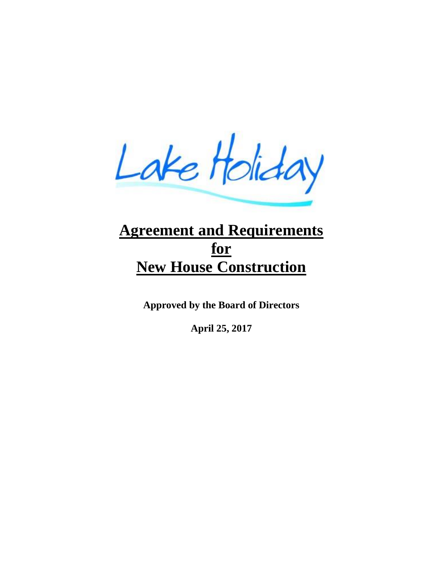Lake Holiday

# **Agreement and Requirements for New House Construction**

**Approved by the Board of Directors**

**April 25, 2017**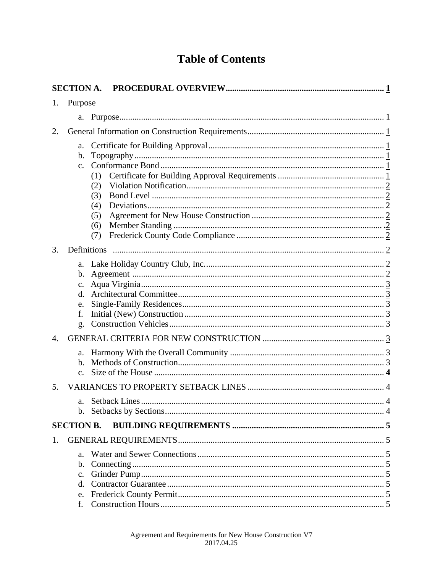## **Table of Contents**

|    | <b>SECTION A.</b>                                                           |  |
|----|-----------------------------------------------------------------------------|--|
| 1. | Purpose                                                                     |  |
|    |                                                                             |  |
| 2. |                                                                             |  |
|    | a.<br>b.<br>C <sub>1</sub><br>(1)<br>(2)<br>(3)<br>(4)<br>(5)<br>(6)<br>(7) |  |
| 3. | Definitions                                                                 |  |
|    | a.<br>b.<br>$\mathbf{c}$ .<br>$\mathbf{d}$ .<br>e.<br>f.<br>g.              |  |
| 4. |                                                                             |  |
|    | a.<br>b.<br>$C_{\star}$                                                     |  |
| 5. |                                                                             |  |
|    | a.                                                                          |  |
|    | <b>SECTION B.</b>                                                           |  |
| 1. | a.<br>b.<br>c.<br>$\mathbf{d}$ .<br>e.                                      |  |
|    |                                                                             |  |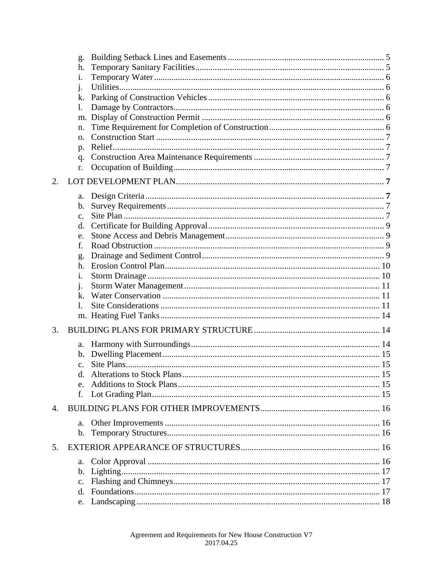|    | g.             |  |
|----|----------------|--|
|    | h.             |  |
|    | i.             |  |
|    | $\mathbf{i}$ . |  |
|    | k.             |  |
|    | $\mathbf{1}$ . |  |
|    | m.             |  |
|    | n.             |  |
|    | $\Omega$ .     |  |
|    | p.<br>q.       |  |
|    | r.             |  |
|    |                |  |
| 2. |                |  |
|    | a.             |  |
|    | $\mathbf{b}$ . |  |
|    | $\mathbf{c}$ . |  |
|    | d.             |  |
|    | e.             |  |
|    | f.             |  |
|    | g.<br>h.       |  |
|    | i.             |  |
|    | $\mathbf{1}$ . |  |
|    | $\mathbf{k}$ . |  |
|    | 1.             |  |
|    |                |  |
| 3. |                |  |
|    | a.             |  |
|    | $\mathbf{b}$ . |  |
|    | $\mathbf{c}$ . |  |
|    |                |  |
|    | e.             |  |
|    | f.             |  |
| 4. |                |  |
|    | a.             |  |
|    | $\mathbf{b}$ . |  |
| 5. |                |  |
|    | a.             |  |
|    | $\mathbf{b}$ . |  |
|    | $c_{\cdot}$    |  |
|    | d.             |  |
|    |                |  |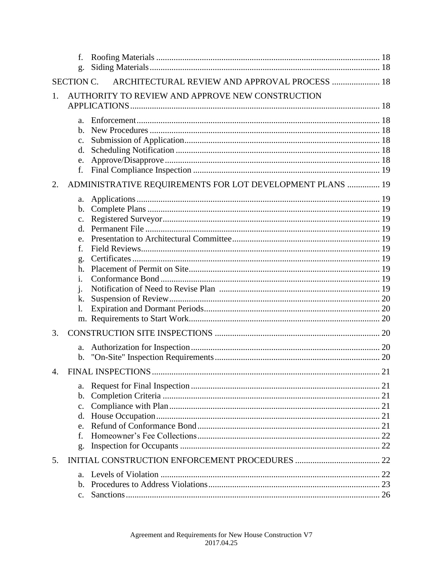|    | f.<br>g.                                                                  |                                                           |  |
|----|---------------------------------------------------------------------------|-----------------------------------------------------------|--|
|    | <b>SECTION C.</b>                                                         | ARCHITECTURAL REVIEW AND APPROVAL PROCESS  18             |  |
| 1. |                                                                           | AUTHORITY TO REVIEW AND APPROVE NEW CONSTRUCTION          |  |
|    | a.<br>b.<br>c.<br>d.<br>e.<br>f.                                          |                                                           |  |
| 2. |                                                                           | ADMINISTRATIVE REQUIREMENTS FOR LOT DEVELOPMENT PLANS  19 |  |
| 3. | a.<br>b.<br>c.<br>d.<br>e.<br>f.<br>g.<br>h.<br>i.<br>$\cdot$<br>k.<br>1. |                                                           |  |
|    | a.<br>b.                                                                  |                                                           |  |
| 4. |                                                                           |                                                           |  |
|    | a.<br>b.<br>c.<br>d.<br>e.<br>f.<br>g.                                    |                                                           |  |
| 5. |                                                                           |                                                           |  |
|    | a.<br>b.<br>c.                                                            |                                                           |  |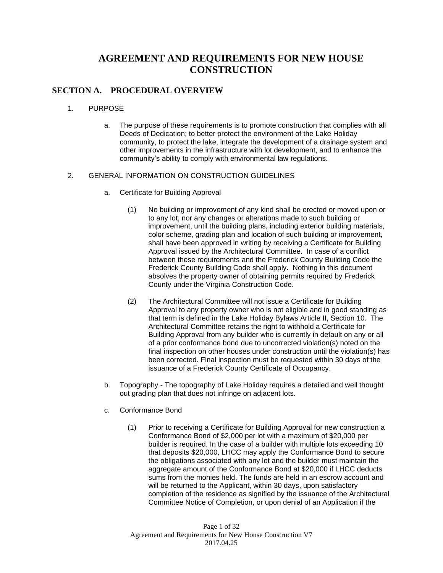## **AGREEMENT AND REQUIREMENTS FOR NEW HOUSE CONSTRUCTION**

#### **SECTION A. PROCEDURAL OVERVIEW**

- 1. PURPOSE
	- a. The purpose of these requirements is to promote construction that complies with all Deeds of Dedication; to better protect the environment of the Lake Holiday community, to protect the lake, integrate the development of a drainage system and other improvements in the infrastructure with lot development, and to enhance the community's ability to comply with environmental law regulations.

#### 2. GENERAL INFORMATION ON CONSTRUCTION GUIDELINES

- a. Certificate for Building Approval
	- (1) No building or improvement of any kind shall be erected or moved upon or to any lot, nor any changes or alterations made to such building or improvement, until the building plans, including exterior building materials, color scheme, grading plan and location of such building or improvement, shall have been approved in writing by receiving a Certificate for Building Approval issued by the Architectural Committee. In case of a conflict between these requirements and the Frederick County Building Code the Frederick County Building Code shall apply. Nothing in this document absolves the property owner of obtaining permits required by Frederick County under the Virginia Construction Code.
	- (2) The Architectural Committee will not issue a Certificate for Building Approval to any property owner who is not eligible and in good standing as that term is defined in the Lake Holiday Bylaws Article II, Section 10. The Architectural Committee retains the right to withhold a Certificate for Building Approval from any builder who is currently in default on any or all of a prior conformance bond due to uncorrected violation(s) noted on the final inspection on other houses under construction until the violation(s) has been corrected. Final inspection must be requested within 30 days of the issuance of a Frederick County Certificate of Occupancy.
- b. Topography The topography of Lake Holiday requires a detailed and well thought out grading plan that does not infringe on adjacent lots.
- c. Conformance Bond
	- (1) Prior to receiving a Certificate for Building Approval for new construction a Conformance Bond of \$2,000 per lot with a maximum of \$20,000 per builder is required. In the case of a builder with multiple lots exceeding 10 that deposits \$20,000, LHCC may apply the Conformance Bond to secure the obligations associated with any lot and the builder must maintain the aggregate amount of the Conformance Bond at \$20,000 if LHCC deducts sums from the monies held. The funds are held in an escrow account and will be returned to the Applicant, within 30 days, upon satisfactory completion of the residence as signified by the issuance of the Architectural Committee Notice of Completion, or upon denial of an Application if the

Page 1 of 32 Agreement and Requirements for New House Construction V7 2017.04.25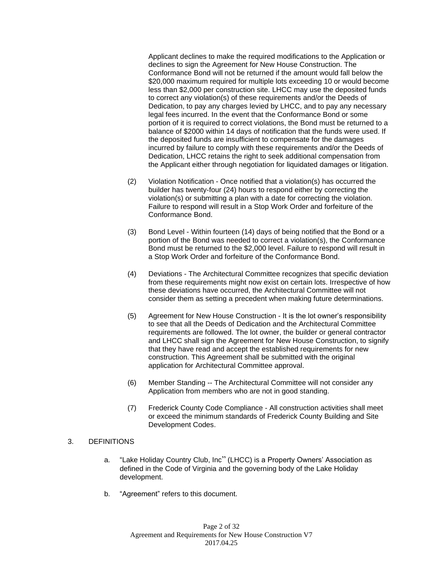Applicant declines to make the required modifications to the Application or declines to sign the Agreement for New House Construction. The Conformance Bond will not be returned if the amount would fall below the \$20,000 maximum required for multiple lots exceeding 10 or would become less than \$2,000 per construction site. LHCC may use the deposited funds to correct any violation(s) of these requirements and/or the Deeds of Dedication, to pay any charges levied by LHCC, and to pay any necessary legal fees incurred. In the event that the Conformance Bond or some portion of it is required to correct violations, the Bond must be returned to a balance of \$2000 within 14 days of notification that the funds were used. If the deposited funds are insufficient to compensate for the damages incurred by failure to comply with these requirements and/or the Deeds of Dedication, LHCC retains the right to seek additional compensation from the Applicant either through negotiation for liquidated damages or litigation.

- (2) Violation Notification Once notified that a violation(s) has occurred the builder has twenty-four (24) hours to respond either by correcting the violation(s) or submitting a plan with a date for correcting the violation. Failure to respond will result in a Stop Work Order and forfeiture of the Conformance Bond.
- (3) Bond Level Within fourteen (14) days of being notified that the Bond or a portion of the Bond was needed to correct a violation(s), the Conformance Bond must be returned to the \$2,000 level. Failure to respond will result in a Stop Work Order and forfeiture of the Conformance Bond.
- (4) Deviations The Architectural Committee recognizes that specific deviation from these requirements might now exist on certain lots. Irrespective of how these deviations have occurred, the Architectural Committee will not consider them as setting a precedent when making future determinations.
- (5) Agreement for New House Construction It is the lot owner's responsibility to see that all the Deeds of Dedication and the Architectural Committee requirements are followed. The lot owner, the builder or general contractor and LHCC shall sign the Agreement for New House Construction, to signify that they have read and accept the established requirements for new construction. This Agreement shall be submitted with the original application for Architectural Committee approval.
- (6) Member Standing -- The Architectural Committee will not consider any Application from members who are not in good standing.
- (7) Frederick County Code Compliance All construction activities shall meet or exceed the minimum standards of Frederick County Building and Site Development Codes.

#### 3. DEFINITIONS

- a. "Lake Holiday Country Club, Inc" (LHCC) is a Property Owners' Association as defined in the Code of Virginia and the governing body of the Lake Holiday development.
- b. "Agreement" refers to this document.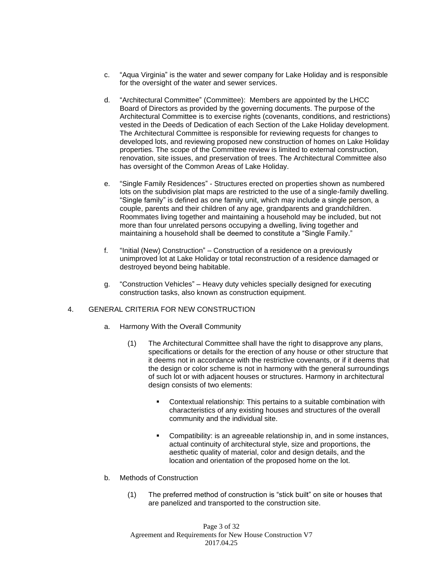- c. "Aqua Virginia" is the water and sewer company for Lake Holiday and is responsible for the oversight of the water and sewer services.
- d. "Architectural Committee" (Committee): Members are appointed by the LHCC Board of Directors as provided by the governing documents. The purpose of the Architectural Committee is to exercise rights (covenants, conditions, and restrictions) vested in the Deeds of Dedication of each Section of the Lake Holiday development. The Architectural Committee is responsible for reviewing requests for changes to developed lots, and reviewing proposed new construction of homes on Lake Holiday properties. The scope of the Committee review is limited to external construction, renovation, site issues, and preservation of trees. The Architectural Committee also has oversight of the Common Areas of Lake Holiday.
- e. "Single Family Residences" Structures erected on properties shown as numbered lots on the subdivision plat maps are restricted to the use of a single-family dwelling. "Single family" is defined as one family unit, which may include a single person, a couple, parents and their children of any age, grandparents and grandchildren. Roommates living together and maintaining a household may be included, but not more than four unrelated persons occupying a dwelling, living together and maintaining a household shall be deemed to constitute a "Single Family."
- f. "Initial (New) Construction" Construction of a residence on a previously unimproved lot at Lake Holiday or total reconstruction of a residence damaged or destroyed beyond being habitable.
- g. "Construction Vehicles" Heavy duty vehicles specially designed for executing construction tasks, also known as construction equipment.

#### 4. GENERAL CRITERIA FOR NEW CONSTRUCTION

- a. Harmony With the Overall Community
	- (1) The Architectural Committee shall have the right to disapprove any plans, specifications or details for the erection of any house or other structure that it deems not in accordance with the restrictive covenants, or if it deems that the design or color scheme is not in harmony with the general surroundings of such lot or with adjacent houses or structures. Harmony in architectural design consists of two elements:
		- Contextual relationship: This pertains to a suitable combination with characteristics of any existing houses and structures of the overall community and the individual site.
		- Compatibility: is an agreeable relationship in, and in some instances, actual continuity of architectural style, size and proportions, the aesthetic quality of material, color and design details, and the location and orientation of the proposed home on the lot.
- b. Methods of Construction
	- (1) The preferred method of construction is "stick built" on site or houses that are panelized and transported to the construction site.

Page 3 of 32 Agreement and Requirements for New House Construction V7 2017.04.25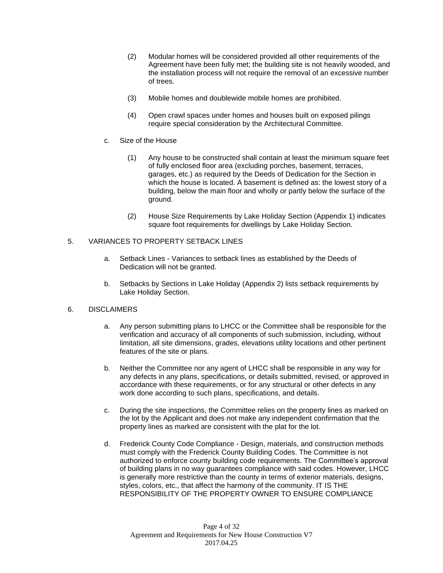- (2) Modular homes will be considered provided all other requirements of the Agreement have been fully met; the building site is not heavily wooded, and the installation process will not require the removal of an excessive number of trees.
- (3) Mobile homes and doublewide mobile homes are prohibited.
- (4) Open crawl spaces under homes and houses built on exposed pilings require special consideration by the Architectural Committee.
- c. Size of the House
	- (1) Any house to be constructed shall contain at least the minimum square feet of fully enclosed floor area (excluding porches, basement, terraces, garages, etc.) as required by the Deeds of Dedication for the Section in which the house is located. A basement is defined as: the lowest story of a building, below the main floor and wholly or partly below the surface of the ground.
	- (2) House Size Requirements by Lake Holiday Section (Appendix 1) indicates square foot requirements for dwellings by Lake Holiday Section.

#### 5. VARIANCES TO PROPERTY SETBACK LINES

- a. Setback Lines Variances to setback lines as established by the Deeds of Dedication will not be granted.
- b. Setbacks by Sections in Lake Holiday (Appendix 2) lists setback requirements by Lake Holiday Section.

#### 6. DISCLAIMERS

- a. Any person submitting plans to LHCC or the Committee shall be responsible for the verification and accuracy of all components of such submission, including, without limitation, all site dimensions, grades, elevations utility locations and other pertinent features of the site or plans.
- b. Neither the Committee nor any agent of LHCC shall be responsible in any way for any defects in any plans, specifications, or details submitted, revised, or approved in accordance with these requirements, or for any structural or other defects in any work done according to such plans, specifications, and details.
- c. During the site inspections, the Committee relies on the property lines as marked on the lot by the Applicant and does not make any independent confirmation that the property lines as marked are consistent with the plat for the lot.
- d. Frederick County Code Compliance Design, materials, and construction methods must comply with the Frederick County Building Codes. The Committee is not authorized to enforce county building code requirements. The Committee's approval of building plans in no way guarantees compliance with said codes. However, LHCC is generally more restrictive than the county in terms of exterior materials, designs, styles, colors, etc., that affect the harmony of the community. IT IS THE RESPONSIBILITY OF THE PROPERTY OWNER TO ENSURE COMPLIANCE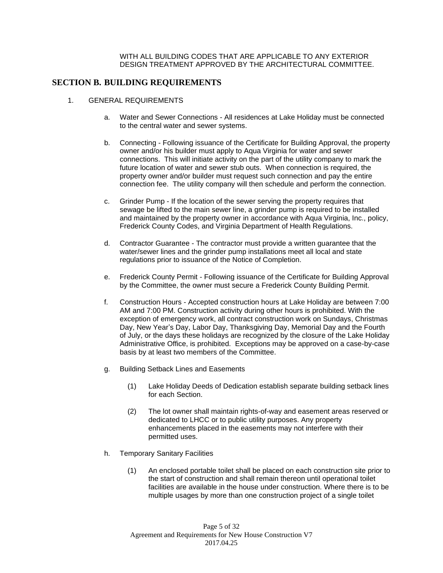#### WITH ALL BUILDING CODES THAT ARE APPLICABLE TO ANY EXTERIOR DESIGN TREATMENT APPROVED BY THE ARCHITECTURAL COMMITTEE.

#### **SECTION B. BUILDING REQUIREMENTS**

- 1. GENERAL REQUIREMENTS
	- a. Water and Sewer Connections All residences at Lake Holiday must be connected to the central water and sewer systems.
	- b. Connecting Following issuance of the Certificate for Building Approval, the property owner and/or his builder must apply to Aqua Virginia for water and sewer connections. This will initiate activity on the part of the utility company to mark the future location of water and sewer stub outs. When connection is required, the property owner and/or builder must request such connection and pay the entire connection fee. The utility company will then schedule and perform the connection.
	- c. Grinder Pump If the location of the sewer serving the property requires that sewage be lifted to the main sewer line, a grinder pump is required to be installed and maintained by the property owner in accordance with Aqua Virginia, Inc., policy, Frederick County Codes, and Virginia Department of Health Regulations.
	- d. Contractor Guarantee The contractor must provide a written guarantee that the water/sewer lines and the grinder pump installations meet all local and state regulations prior to issuance of the Notice of Completion.
	- e. Frederick County Permit Following issuance of the Certificate for Building Approval by the Committee, the owner must secure a Frederick County Building Permit.
	- f. Construction Hours Accepted construction hours at Lake Holiday are between 7:00 AM and 7:00 PM. Construction activity during other hours is prohibited. With the exception of emergency work, all contract construction work on Sundays, Christmas Day, New Year's Day, Labor Day, Thanksgiving Day, Memorial Day and the Fourth of July, or the days these holidays are recognized by the closure of the Lake Holiday Administrative Office, is prohibited. Exceptions may be approved on a case-by-case basis by at least two members of the Committee.
	- g. Building Setback Lines and Easements
		- (1) Lake Holiday Deeds of Dedication establish separate building setback lines for each Section.
		- (2) The lot owner shall maintain rights-of-way and easement areas reserved or dedicated to LHCC or to public utility purposes. Any property enhancements placed in the easements may not interfere with their permitted uses.
	- h. Temporary Sanitary Facilities
		- (1) An enclosed portable toilet shall be placed on each construction site prior to the start of construction and shall remain thereon until operational toilet facilities are available in the house under construction. Where there is to be multiple usages by more than one construction project of a single toilet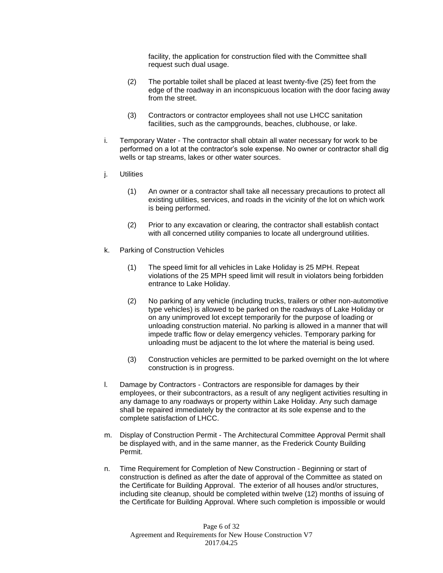facility, the application for construction filed with the Committee shall request such dual usage.

- (2) The portable toilet shall be placed at least twenty-five (25) feet from the edge of the roadway in an inconspicuous location with the door facing away from the street.
- (3) Contractors or contractor employees shall not use LHCC sanitation facilities, such as the campgrounds, beaches, clubhouse, or lake.
- i. Temporary Water The contractor shall obtain all water necessary for work to be performed on a lot at the contractor's sole expense. No owner or contractor shall dig wells or tap streams, lakes or other water sources.
- j. Utilities
	- (1) An owner or a contractor shall take all necessary precautions to protect all existing utilities, services, and roads in the vicinity of the lot on which work is being performed.
	- (2) Prior to any excavation or clearing, the contractor shall establish contact with all concerned utility companies to locate all underground utilities.
- k. Parking of Construction Vehicles
	- (1) The speed limit for all vehicles in Lake Holiday is 25 MPH. Repeat violations of the 25 MPH speed limit will result in violators being forbidden entrance to Lake Holiday.
	- (2) No parking of any vehicle (including trucks, trailers or other non-automotive type vehicles) is allowed to be parked on the roadways of Lake Holiday or on any unimproved lot except temporarily for the purpose of loading or unloading construction material. No parking is allowed in a manner that will impede traffic flow or delay emergency vehicles. Temporary parking for unloading must be adjacent to the lot where the material is being used.
	- (3) Construction vehicles are permitted to be parked overnight on the lot where construction is in progress.
- l. Damage by Contractors Contractors are responsible for damages by their employees, or their subcontractors, as a result of any negligent activities resulting in any damage to any roadways or property within Lake Holiday. Any such damage shall be repaired immediately by the contractor at its sole expense and to the complete satisfaction of LHCC.
- m. Display of Construction Permit The Architectural Committee Approval Permit shall be displayed with, and in the same manner, as the Frederick County Building Permit.
- n. Time Requirement for Completion of New Construction Beginning or start of construction is defined as after the date of approval of the Committee as stated on the Certificate for Building Approval. The exterior of all houses and/or structures, including site cleanup, should be completed within twelve (12) months of issuing of the Certificate for Building Approval. Where such completion is impossible or would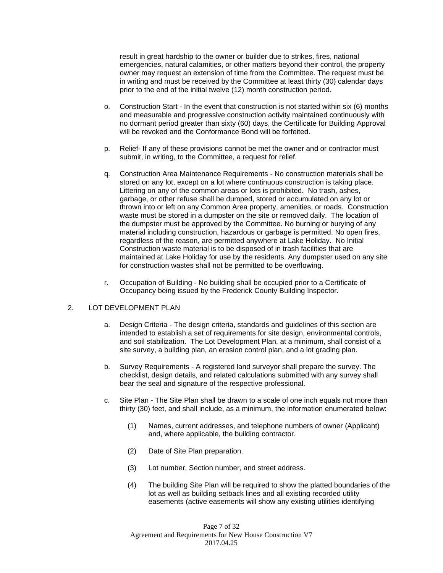result in great hardship to the owner or builder due to strikes, fires, national emergencies, natural calamities, or other matters beyond their control, the property owner may request an extension of time from the Committee. The request must be in writing and must be received by the Committee at least thirty (30) calendar days prior to the end of the initial twelve (12) month construction period.

- o. Construction Start In the event that construction is not started within six (6) months and measurable and progressive construction activity maintained continuously with no dormant period greater than sixty (60) days, the Certificate for Building Approval will be revoked and the Conformance Bond will be forfeited.
- p. Relief- If any of these provisions cannot be met the owner and or contractor must submit, in writing, to the Committee, a request for relief.
- q. Construction Area Maintenance Requirements No construction materials shall be stored on any lot, except on a lot where continuous construction is taking place. Littering on any of the common areas or lots is prohibited. No trash, ashes, garbage, or other refuse shall be dumped, stored or accumulated on any lot or thrown into or left on any Common Area property, amenities, or roads. Construction waste must be stored in a dumpster on the site or removed daily. The location of the dumpster must be approved by the Committee. No burning or burying of any material including construction, hazardous or garbage is permitted. No open fires, regardless of the reason, are permitted anywhere at Lake Holiday. No Initial Construction waste material is to be disposed of in trash facilities that are maintained at Lake Holiday for use by the residents. Any dumpster used on any site for construction wastes shall not be permitted to be overflowing.
- r. Occupation of Building No building shall be occupied prior to a Certificate of Occupancy being issued by the Frederick County Building Inspector.

#### 2. LOT DEVELOPMENT PLAN

- a. Design Criteria The design criteria, standards and guidelines of this section are intended to establish a set of requirements for site design, environmental controls, and soil stabilization. The Lot Development Plan, at a minimum, shall consist of a site survey, a building plan, an erosion control plan, and a lot grading plan.
- b. Survey Requirements A registered land surveyor shall prepare the survey. The checklist, design details, and related calculations submitted with any survey shall bear the seal and signature of the respective professional.
- c. Site Plan The Site Plan shall be drawn to a scale of one inch equals not more than thirty (30) feet, and shall include, as a minimum, the information enumerated below:
	- (1) Names, current addresses, and telephone numbers of owner (Applicant) and, where applicable, the building contractor.
	- (2) Date of Site Plan preparation.
	- (3) Lot number, Section number, and street address.
	- (4) The building Site Plan will be required to show the platted boundaries of the lot as well as building setback lines and all existing recorded utility easements (active easements will show any existing utilities identifying

Page 7 of 32 Agreement and Requirements for New House Construction V7 2017.04.25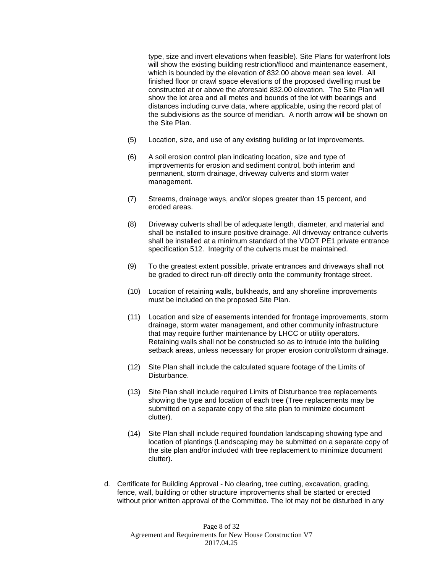type, size and invert elevations when feasible). Site Plans for waterfront lots will show the existing building restriction/flood and maintenance easement, which is bounded by the elevation of 832.00 above mean sea level. All finished floor or crawl space elevations of the proposed dwelling must be constructed at or above the aforesaid 832.00 elevation. The Site Plan will show the lot area and all metes and bounds of the lot with bearings and distances including curve data, where applicable, using the record plat of the subdivisions as the source of meridian. A north arrow will be shown on the Site Plan.

- (5) Location, size, and use of any existing building or lot improvements.
- (6) A soil erosion control plan indicating location, size and type of improvements for erosion and sediment control, both interim and permanent, storm drainage, driveway culverts and storm water management.
- (7) Streams, drainage ways, and/or slopes greater than 15 percent, and eroded areas.
- (8) Driveway culverts shall be of adequate length, diameter, and material and shall be installed to insure positive drainage. All driveway entrance culverts shall be installed at a minimum standard of the VDOT PE1 private entrance specification 512. Integrity of the culverts must be maintained.
- (9) To the greatest extent possible, private entrances and driveways shall not be graded to direct run-off directly onto the community frontage street.
- (10) Location of retaining walls, bulkheads, and any shoreline improvements must be included on the proposed Site Plan.
- (11) Location and size of easements intended for frontage improvements, storm drainage, storm water management, and other community infrastructure that may require further maintenance by LHCC or utility operators. Retaining walls shall not be constructed so as to intrude into the building setback areas, unless necessary for proper erosion control/storm drainage.
- (12) Site Plan shall include the calculated square footage of the Limits of Disturbance.
- (13) Site Plan shall include required Limits of Disturbance tree replacements showing the type and location of each tree (Tree replacements may be submitted on a separate copy of the site plan to minimize document clutter).
- (14) Site Plan shall include required foundation landscaping showing type and location of plantings (Landscaping may be submitted on a separate copy of the site plan and/or included with tree replacement to minimize document clutter).
- d. Certificate for Building Approval No clearing, tree cutting, excavation, grading, fence, wall, building or other structure improvements shall be started or erected without prior written approval of the Committee. The lot may not be disturbed in any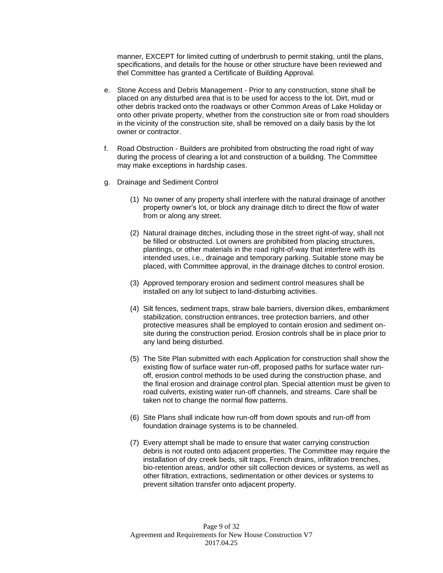manner, EXCEPT for limited cutting of underbrush to permit staking, until the plans, specifications, and details for the house or other structure have been reviewed and thel Committee has granted a Certificate of Building Approval.

- e. Stone Access and Debris Management Prior to any construction, stone shall be placed on any disturbed area that is to be used for access to the lot. Dirt, mud or other debris tracked onto the roadways or other Common Areas of Lake Holiday or onto other private property, whether from the construction site or from road shoulders in the vicinity of the construction site, shall be removed on a daily basis by the lot owner or contractor.
- f. Road Obstruction Builders are prohibited from obstructing the road right of way during the process of clearing a lot and construction of a building. The Committee may make exceptions in hardship cases.
- g. Drainage and Sediment Control
	- (1) No owner of any property shall interfere with the natural drainage of another property owner's lot, or block any drainage ditch to direct the flow of water from or along any street.
	- (2) Natural drainage ditches, including those in the street right-of way, shall not be filled or obstructed. Lot owners are prohibited from placing structures, plantings, or other materials in the road right-of-way that interfere with its intended uses, i.e., drainage and temporary parking. Suitable stone may be placed, with Committee approval, in the drainage ditches to control erosion.
	- (3) Approved temporary erosion and sediment control measures shall be installed on any lot subject to land-disturbing activities.
	- (4) Silt fences, sediment traps, straw bale barriers, diversion dikes, embankment stabilization, construction entrances, tree protection barriers, and other protective measures shall be employed to contain erosion and sediment onsite during the construction period. Erosion controls shall be in place prior to any land being disturbed.
	- (5) The Site Plan submitted with each Application for construction shall show the existing flow of surface water run-off, proposed paths for surface water runoff, erosion control methods to be used during the construction phase, and the final erosion and drainage control plan. Special attention must be given to road culverts, existing water run-off channels, and streams. Care shall be taken not to change the normal flow patterns.
	- (6) Site Plans shall indicate how run-off from down spouts and run-off from foundation drainage systems is to be channeled.
	- (7) Every attempt shall be made to ensure that water carrying construction debris is not routed onto adjacent properties. The Committee may require the installation of dry creek beds, silt traps, French drains, infiltration trenches, bio-retention areas, and/or other silt collection devices or systems, as well as other filtration, extractions, sedimentation or other devices or systems to prevent siltation transfer onto adjacent property.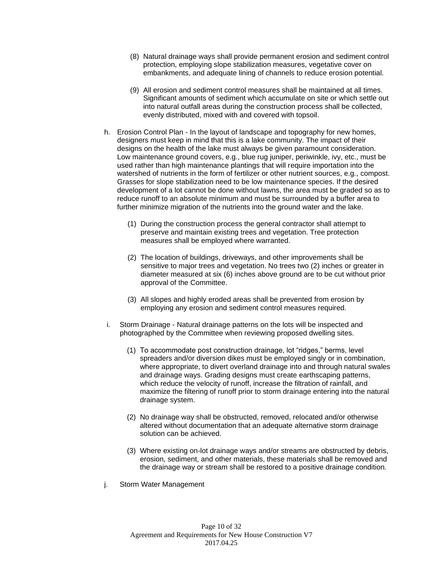- (8) Natural drainage ways shall provide permanent erosion and sediment control protection, employing slope stabilization measures, vegetative cover on embankments, and adequate lining of channels to reduce erosion potential.
- (9) All erosion and sediment control measures shall be maintained at all times. Significant amounts of sediment which accumulate on site or which settle out into natural outfall areas during the construction process shall be collected, evenly distributed, mixed with and covered with topsoil.
- h. Erosion Control Plan In the layout of landscape and topography for new homes, designers must keep in mind that this is a lake community. The impact of their designs on the health of the lake must always be given paramount consideration. Low maintenance ground covers, e.g., blue rug juniper, periwinkle, ivy, etc., must be used rather than high maintenance plantings that will require importation into the watershed of nutrients in the form of fertilizer or other nutrient sources, e.g., compost. Grasses for slope stabilization need to be low maintenance species. If the desired development of a lot cannot be done without lawns, the area must be graded so as to reduce runoff to an absolute minimum and must be surrounded by a buffer area to further minimize migration of the nutrients into the ground water and the lake.
	- (1) During the construction process the general contractor shall attempt to preserve and maintain existing trees and vegetation. Tree protection measures shall be employed where warranted.
	- (2) The location of buildings, driveways, and other improvements shall be sensitive to major trees and vegetation. No trees two (2) inches or greater in diameter measured at six (6) inches above ground are to be cut without prior approval of the Committee.
	- (3) All slopes and highly eroded areas shall be prevented from erosion by employing any erosion and sediment control measures required.
- i. Storm Drainage Natural drainage patterns on the lots will be inspected and photographed by the Committee when reviewing proposed dwelling sites.
	- (1) To accommodate post construction drainage, lot "ridges," berms, level spreaders and/or diversion dikes must be employed singly or in combination, where appropriate, to divert overland drainage into and through natural swales and drainage ways. Grading designs must create earthscaping patterns, which reduce the velocity of runoff, increase the filtration of rainfall, and maximize the filtering of runoff prior to storm drainage entering into the natural drainage system.
	- (2) No drainage way shall be obstructed, removed, relocated and/or otherwise altered without documentation that an adequate alternative storm drainage solution can be achieved.
	- (3) Where existing on-lot drainage ways and/or streams are obstructed by debris, erosion, sediment, and other materials, these materials shall be removed and the drainage way or stream shall be restored to a positive drainage condition.
- j. Storm Water Management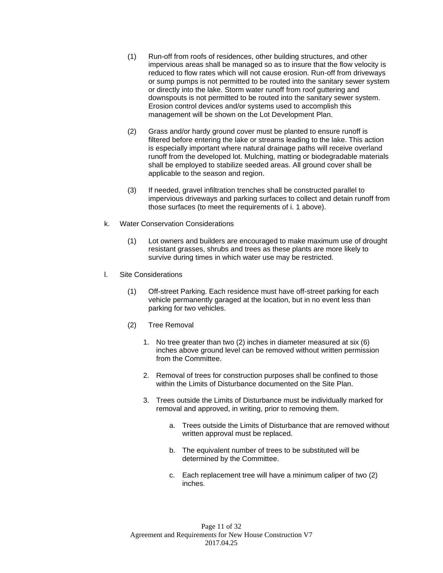- (1) Run-off from roofs of residences, other building structures, and other impervious areas shall be managed so as to insure that the flow velocity is reduced to flow rates which will not cause erosion. Run-off from driveways or sump pumps is not permitted to be routed into the sanitary sewer system or directly into the lake. Storm water runoff from roof guttering and downspouts is not permitted to be routed into the sanitary sewer system. Erosion control devices and/or systems used to accomplish this management will be shown on the Lot Development Plan.
- (2) Grass and/or hardy ground cover must be planted to ensure runoff is filtered before entering the lake or streams leading to the lake. This action is especially important where natural drainage paths will receive overland runoff from the developed lot. Mulching, matting or biodegradable materials shall be employed to stabilize seeded areas. All ground cover shall be applicable to the season and region.
- (3) If needed, gravel infiltration trenches shall be constructed parallel to impervious driveways and parking surfaces to collect and detain runoff from those surfaces (to meet the requirements of i. 1 above).
- k. Water Conservation Considerations
	- (1) Lot owners and builders are encouraged to make maximum use of drought resistant grasses, shrubs and trees as these plants are more likely to survive during times in which water use may be restricted.
- l. Site Considerations
	- (1) Off-street Parking. Each residence must have off-street parking for each vehicle permanently garaged at the location, but in no event less than parking for two vehicles.
	- (2) Tree Removal
		- 1. No tree greater than two (2) inches in diameter measured at six (6) inches above ground level can be removed without written permission from the Committee.
		- 2. Removal of trees for construction purposes shall be confined to those within the Limits of Disturbance documented on the Site Plan.
		- 3. Trees outside the Limits of Disturbance must be individually marked for removal and approved, in writing, prior to removing them.
			- a. Trees outside the Limits of Disturbance that are removed without written approval must be replaced.
			- b. The equivalent number of trees to be substituted will be determined by the Committee.
			- c. Each replacement tree will have a minimum caliper of two (2) inches.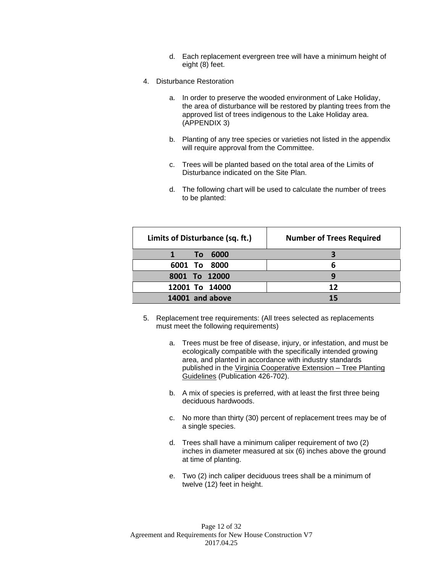- d. Each replacement evergreen tree will have a minimum height of eight (8) feet.
- 4. Disturbance Restoration
	- a. In order to preserve the wooded environment of Lake Holiday, the area of disturbance will be restored by planting trees from the approved list of trees indigenous to the Lake Holiday area. (APPENDIX 3)
	- b. Planting of any tree species or varieties not listed in the appendix will require approval from the Committee.
	- c. Trees will be planted based on the total area of the Limits of Disturbance indicated on the Site Plan.
	- d. The following chart will be used to calculate the number of trees to be planted:

| Limits of Disturbance (sq. ft.) | <b>Number of Trees Required</b> |
|---------------------------------|---------------------------------|
| 6000<br>Τo                      |                                 |
| 6001 To 8000                    | h                               |
| 8001 To 12000                   | q                               |
| 12001 To 14000                  | 12                              |
| 14001 and above                 | 15                              |

- 5. Replacement tree requirements: (All trees selected as replacements must meet the following requirements)
	- a. Trees must be free of disease, injury, or infestation, and must be ecologically compatible with the specifically intended growing area, and planted in accordance with industry standards published in the Virginia Cooperative Extension – Tree Planting Guidelines (Publication 426-702).
	- b. A mix of species is preferred, with at least the first three being deciduous hardwoods.
	- c. No more than thirty (30) percent of replacement trees may be of a single species.
	- d. Trees shall have a minimum caliper requirement of two (2) inches in diameter measured at six (6) inches above the ground at time of planting.
	- e. Two (2) inch caliper deciduous trees shall be a minimum of twelve (12) feet in height.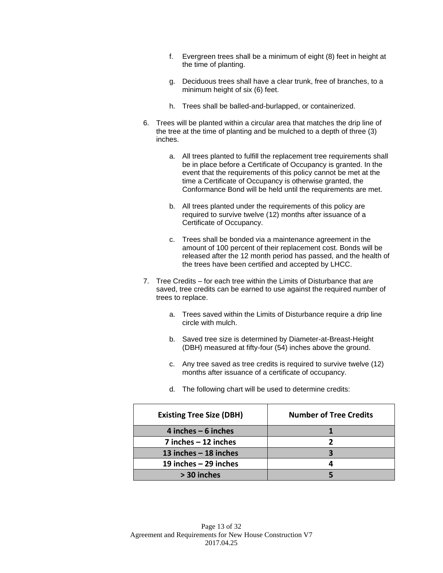- f. Evergreen trees shall be a minimum of eight (8) feet in height at the time of planting.
- g. Deciduous trees shall have a clear trunk, free of branches, to a minimum height of six (6) feet.
- h. Trees shall be balled-and-burlapped, or containerized.
- 6. Trees will be planted within a circular area that matches the drip line of the tree at the time of planting and be mulched to a depth of three (3) inches.
	- a. All trees planted to fulfill the replacement tree requirements shall be in place before a Certificate of Occupancy is granted. In the event that the requirements of this policy cannot be met at the time a Certificate of Occupancy is otherwise granted, the Conformance Bond will be held until the requirements are met.
	- b. All trees planted under the requirements of this policy are required to survive twelve (12) months after issuance of a Certificate of Occupancy.
	- c. Trees shall be bonded via a maintenance agreement in the amount of 100 percent of their replacement cost. Bonds will be released after the 12 month period has passed, and the health of the trees have been certified and accepted by LHCC.
- 7. Tree Credits for each tree within the Limits of Disturbance that are saved, tree credits can be earned to use against the required number of trees to replace.
	- a. Trees saved within the Limits of Disturbance require a drip line circle with mulch.
	- b. Saved tree size is determined by Diameter-at-Breast-Height (DBH) measured at fifty-four (54) inches above the ground.
	- c. Any tree saved as tree credits is required to survive twelve (12) months after issuance of a certificate of occupancy.
	- d. The following chart will be used to determine credits:

| <b>Existing Tree Size (DBH)</b> | <b>Number of Tree Credits</b> |  |
|---------------------------------|-------------------------------|--|
| 4 inches $-6$ inches            |                               |  |
| $7$ inches $-12$ inches         |                               |  |
| 13 inches $-$ 18 inches         |                               |  |
| 19 inches $-$ 29 inches         |                               |  |
| > 30 inches                     |                               |  |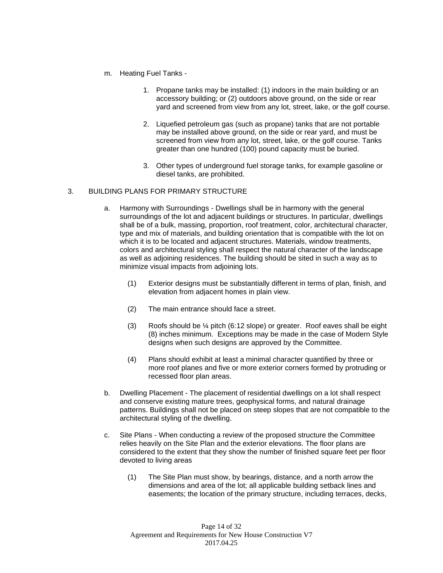- m. Heating Fuel Tanks
	- 1. Propane tanks may be installed: (1) indoors in the main building or an accessory building; or (2) outdoors above ground, on the side or rear yard and screened from view from any lot, street, lake, or the golf course.
	- 2. Liquefied petroleum gas (such as propane) tanks that are not portable may be installed above ground, on the side or rear yard, and must be screened from view from any lot, street, lake, or the golf course. Tanks greater than one hundred (100) pound capacity must be buried.
	- 3. Other types of underground fuel storage tanks, for example gasoline or diesel tanks, are prohibited.

#### 3. BUILDING PLANS FOR PRIMARY STRUCTURE

- a. Harmony with Surroundings Dwellings shall be in harmony with the general surroundings of the lot and adjacent buildings or structures. In particular, dwellings shall be of a bulk, massing, proportion, roof treatment, color, architectural character, type and mix of materials, and building orientation that is compatible with the lot on which it is to be located and adjacent structures. Materials, window treatments, colors and architectural styling shall respect the natural character of the landscape as well as adjoining residences. The building should be sited in such a way as to minimize visual impacts from adjoining lots.
	- (1) Exterior designs must be substantially different in terms of plan, finish, and elevation from adjacent homes in plain view.
	- (2) The main entrance should face a street.
	- (3) Roofs should be ¼ pitch (6:12 slope) or greater. Roof eaves shall be eight (8) inches minimum. Exceptions may be made in the case of Modern Style designs when such designs are approved by the Committee.
	- (4) Plans should exhibit at least a minimal character quantified by three or more roof planes and five or more exterior corners formed by protruding or recessed floor plan areas.
- b. Dwelling Placement The placement of residential dwellings on a lot shall respect and conserve existing mature trees, geophysical forms, and natural drainage patterns. Buildings shall not be placed on steep slopes that are not compatible to the architectural styling of the dwelling.
- c. Site Plans When conducting a review of the proposed structure the Committee relies heavily on the Site Plan and the exterior elevations. The floor plans are considered to the extent that they show the number of finished square feet per floor devoted to living areas
	- (1) The Site Plan must show, by bearings, distance, and a north arrow the dimensions and area of the lot; all applicable building setback lines and easements; the location of the primary structure, including terraces, decks,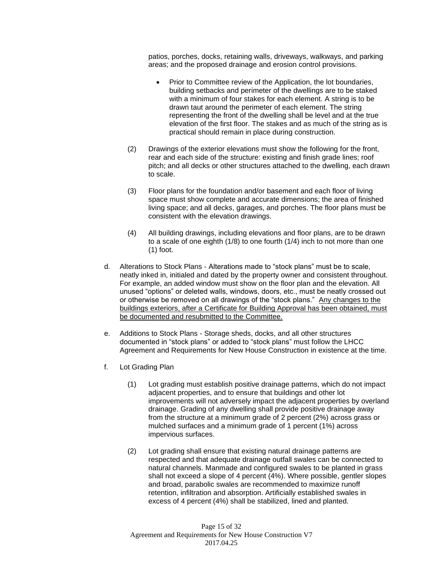patios, porches, docks, retaining walls, driveways, walkways, and parking areas; and the proposed drainage and erosion control provisions.

- Prior to Committee review of the Application, the lot boundaries, building setbacks and perimeter of the dwellings are to be staked with a minimum of four stakes for each element. A string is to be drawn taut around the perimeter of each element. The string representing the front of the dwelling shall be level and at the true elevation of the first floor. The stakes and as much of the string as is practical should remain in place during construction.
- (2) Drawings of the exterior elevations must show the following for the front, rear and each side of the structure: existing and finish grade lines; roof pitch; and all decks or other structures attached to the dwelling, each drawn to scale.
- (3) Floor plans for the foundation and/or basement and each floor of living space must show complete and accurate dimensions; the area of finished living space; and all decks, garages, and porches. The floor plans must be consistent with the elevation drawings.
- (4) All building drawings, including elevations and floor plans, are to be drawn to a scale of one eighth (1/8) to one fourth (1/4) inch to not more than one (1) foot.
- d. Alterations to Stock Plans Alterations made to "stock plans" must be to scale, neatly inked in, initialed and dated by the property owner and consistent throughout. For example, an added window must show on the floor plan and the elevation. All unused "options" or deleted walls, windows, doors, etc., must be neatly crossed out or otherwise be removed on all drawings of the "stock plans." Any changes to the buildings exteriors, after a Certificate for Building Approval has been obtained, must be documented and resubmitted to the Committee.
- e. Additions to Stock Plans Storage sheds, docks, and all other structures documented in "stock plans" or added to "stock plans" must follow the LHCC Agreement and Requirements for New House Construction in existence at the time.
- f. Lot Grading Plan
	- (1) Lot grading must establish positive drainage patterns, which do not impact adjacent properties, and to ensure that buildings and other lot improvements will not adversely impact the adjacent properties by overland drainage. Grading of any dwelling shall provide positive drainage away from the structure at a minimum grade of 2 percent (2%) across grass or mulched surfaces and a minimum grade of 1 percent (1%) across impervious surfaces.
	- (2) Lot grading shall ensure that existing natural drainage patterns are respected and that adequate drainage outfall swales can be connected to natural channels. Manmade and configured swales to be planted in grass shall not exceed a slope of 4 percent (4%). Where possible, gentler slopes and broad, parabolic swales are recommended to maximize runoff retention, infiltration and absorption. Artificially established swales in excess of 4 percent (4%) shall be stabilized, lined and planted.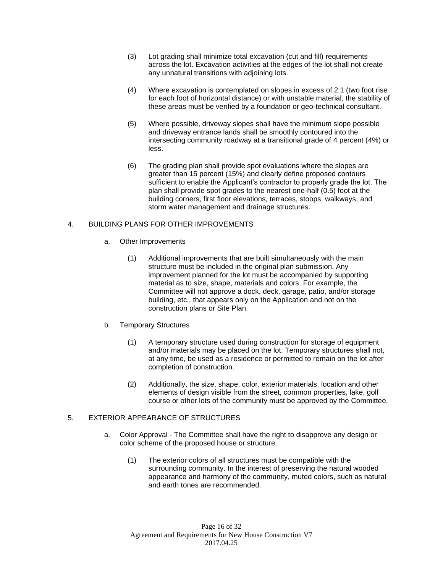- (3) Lot grading shall minimize total excavation (cut and fill) requirements across the lot. Excavation activities at the edges of the lot shall not create any unnatural transitions with adjoining lots.
- (4) Where excavation is contemplated on slopes in excess of 2:1 (two foot rise for each foot of horizontal distance) or with unstable material, the stability of these areas must be verified by a foundation or geo-technical consultant.
- (5) Where possible, driveway slopes shall have the minimum slope possible and driveway entrance lands shall be smoothly contoured into the intersecting community roadway at a transitional grade of 4 percent (4%) or less.
- (6) The grading plan shall provide spot evaluations where the slopes are greater than 15 percent (15%) and clearly define proposed contours sufficient to enable the Applicant's contractor to properly grade the lot. The plan shall provide spot grades to the nearest one-half (0.5) foot at the building corners, first floor elevations, terraces, stoops, walkways, and storm water management and drainage structures.

#### 4. BUILDING PLANS FOR OTHER IMPROVEMENTS

- a. Other Improvements
	- (1) Additional improvements that are built simultaneously with the main structure must be included in the original plan submission. Any improvement planned for the lot must be accompanied by supporting material as to size, shape, materials and colors. For example, the Committee will not approve a dock, deck, garage, patio, and/or storage building, etc., that appears only on the Application and not on the construction plans or Site Plan.
- b. Temporary Structures
	- (1) A temporary structure used during construction for storage of equipment and/or materials may be placed on the lot. Temporary structures shall not, at any time, be used as a residence or permitted to remain on the lot after completion of construction.
	- (2) Additionally, the size, shape, color, exterior materials, location and other elements of design visible from the street, common properties, lake, golf course or other lots of the community must be approved by the Committee.

#### 5. EXTERIOR APPEARANCE OF STRUCTURES

- a. Color Approval The Committee shall have the right to disapprove any design or color scheme of the proposed house or structure.
	- (1) The exterior colors of all structures must be compatible with the surrounding community. In the interest of preserving the natural wooded appearance and harmony of the community, muted colors, such as natural and earth tones are recommended.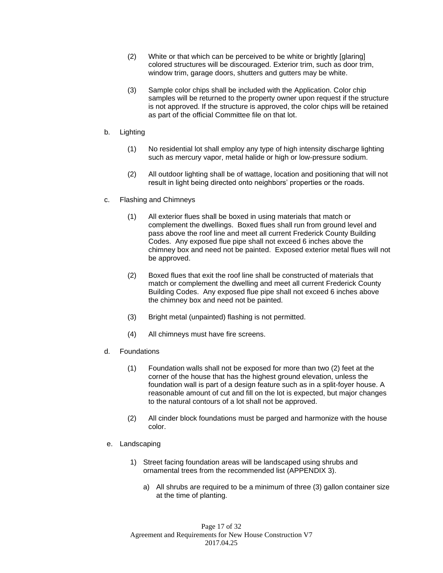- (2) White or that which can be perceived to be white or brightly [glaring] colored structures will be discouraged. Exterior trim, such as door trim, window trim, garage doors, shutters and gutters may be white.
- (3) Sample color chips shall be included with the Application. Color chip samples will be returned to the property owner upon request if the structure is not approved. If the structure is approved, the color chips will be retained as part of the official Committee file on that lot.
- b. Lighting
	- (1) No residential lot shall employ any type of high intensity discharge lighting such as mercury vapor, metal halide or high or low-pressure sodium.
	- (2) All outdoor lighting shall be of wattage, location and positioning that will not result in light being directed onto neighbors' properties or the roads.
- c. Flashing and Chimneys
	- (1) All exterior flues shall be boxed in using materials that match or complement the dwellings. Boxed flues shall run from ground level and pass above the roof line and meet all current Frederick County Building Codes. Any exposed flue pipe shall not exceed 6 inches above the chimney box and need not be painted. Exposed exterior metal flues will not be approved.
	- (2) Boxed flues that exit the roof line shall be constructed of materials that match or complement the dwelling and meet all current Frederick County Building Codes. Any exposed flue pipe shall not exceed 6 inches above the chimney box and need not be painted.
	- (3) Bright metal (unpainted) flashing is not permitted.
	- (4) All chimneys must have fire screens.
- d. Foundations
	- (1) Foundation walls shall not be exposed for more than two (2) feet at the corner of the house that has the highest ground elevation, unless the foundation wall is part of a design feature such as in a split-foyer house. A reasonable amount of cut and fill on the lot is expected, but major changes to the natural contours of a lot shall not be approved.
	- (2) All cinder block foundations must be parged and harmonize with the house color.
- e. Landscaping
	- 1) Street facing foundation areas will be landscaped using shrubs and ornamental trees from the recommended list (APPENDIX 3).
		- a) All shrubs are required to be a minimum of three (3) gallon container size at the time of planting.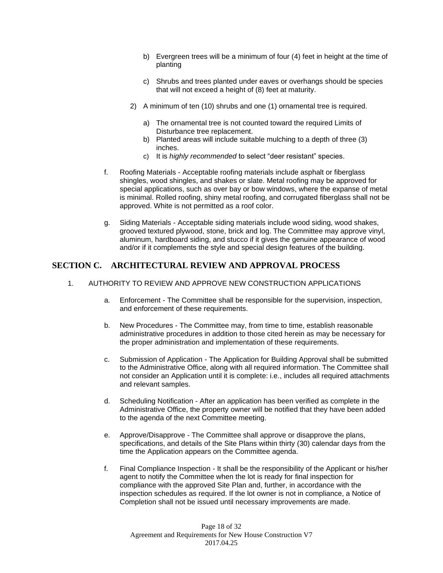- b) Evergreen trees will be a minimum of four (4) feet in height at the time of planting
- c) Shrubs and trees planted under eaves or overhangs should be species that will not exceed a height of (8) feet at maturity.
- 2) A minimum of ten (10) shrubs and one (1) ornamental tree is required.
	- a) The ornamental tree is not counted toward the required Limits of Disturbance tree replacement.
	- b) Planted areas will include suitable mulching to a depth of three (3) inches.
	- c) It is *highly recommended* to select "deer resistant" species.
- f. Roofing Materials Acceptable roofing materials include asphalt or fiberglass shingles, wood shingles, and shakes or slate. Metal roofing may be approved for special applications, such as over bay or bow windows, where the expanse of metal is minimal. Rolled roofing, shiny metal roofing, and corrugated fiberglass shall not be approved. White is not permitted as a roof color.
- g. Siding Materials Acceptable siding materials include wood siding, wood shakes, grooved textured plywood, stone, brick and log. The Committee may approve vinyl, aluminum, hardboard siding, and stucco if it gives the genuine appearance of wood and/or if it complements the style and special design features of the building.

## **SECTION C. ARCHITECTURAL REVIEW AND APPROVAL PROCESS**

- 1. AUTHORITY TO REVIEW AND APPROVE NEW CONSTRUCTION APPLICATIONS
	- a. Enforcement The Committee shall be responsible for the supervision, inspection, and enforcement of these requirements.
	- b. New Procedures The Committee may, from time to time, establish reasonable administrative procedures in addition to those cited herein as may be necessary for the proper administration and implementation of these requirements.
	- c. Submission of Application The Application for Building Approval shall be submitted to the Administrative Office, along with all required information. The Committee shall not consider an Application until it is complete: i.e., includes all required attachments and relevant samples.
	- d. Scheduling Notification After an application has been verified as complete in the Administrative Office, the property owner will be notified that they have been added to the agenda of the next Committee meeting.
	- e. Approve/Disapprove The Committee shall approve or disapprove the plans, specifications, and details of the Site Plans within thirty (30) calendar days from the time the Application appears on the Committee agenda.
	- f. Final Compliance Inspection It shall be the responsibility of the Applicant or his/her agent to notify the Committee when the lot is ready for final inspection for compliance with the approved Site Plan and, further, in accordance with the inspection schedules as required. If the lot owner is not in compliance, a Notice of Completion shall not be issued until necessary improvements are made.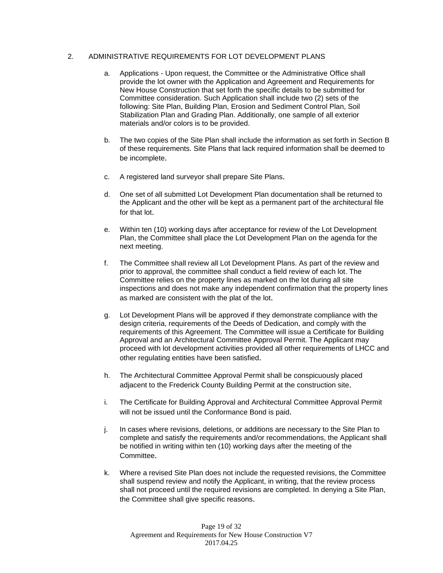#### 2. ADMINISTRATIVE REQUIREMENTS FOR LOT DEVELOPMENT PLANS

- a. Applications Upon request, the Committee or the Administrative Office shall provide the lot owner with the Application and Agreement and Requirements for New House Construction that set forth the specific details to be submitted for Committee consideration. Such Application shall include two (2) sets of the following: Site Plan, Building Plan, Erosion and Sediment Control Plan, Soil Stabilization Plan and Grading Plan. Additionally, one sample of all exterior materials and/or colors is to be provided.
- b. The two copies of the Site Plan shall include the information as set forth in Section B of these requirements. Site Plans that lack required information shall be deemed to be incomplete.
- c. A registered land surveyor shall prepare Site Plans.
- d. One set of all submitted Lot Development Plan documentation shall be returned to the Applicant and the other will be kept as a permanent part of the architectural file for that lot.
- e. Within ten (10) working days after acceptance for review of the Lot Development Plan, the Committee shall place the Lot Development Plan on the agenda for the next meeting.
- f. The Committee shall review all Lot Development Plans. As part of the review and prior to approval, the committee shall conduct a field review of each lot. The Committee relies on the property lines as marked on the lot during all site inspections and does not make any independent confirmation that the property lines as marked are consistent with the plat of the lot.
- g. Lot Development Plans will be approved if they demonstrate compliance with the design criteria, requirements of the Deeds of Dedication, and comply with the requirements of this Agreement. The Committee will issue a Certificate for Building Approval and an Architectural Committee Approval Permit. The Applicant may proceed with lot development activities provided all other requirements of LHCC and other regulating entities have been satisfied.
- h. The Architectural Committee Approval Permit shall be conspicuously placed adjacent to the Frederick County Building Permit at the construction site.
- i. The Certificate for Building Approval and Architectural Committee Approval Permit will not be issued until the Conformance Bond is paid.
- j. In cases where revisions, deletions, or additions are necessary to the Site Plan to complete and satisfy the requirements and/or recommendations, the Applicant shall be notified in writing within ten (10) working days after the meeting of the Committee.
- k. Where a revised Site Plan does not include the requested revisions, the Committee shall suspend review and notify the Applicant, in writing, that the review process shall not proceed until the required revisions are completed. In denying a Site Plan, the Committee shall give specific reasons.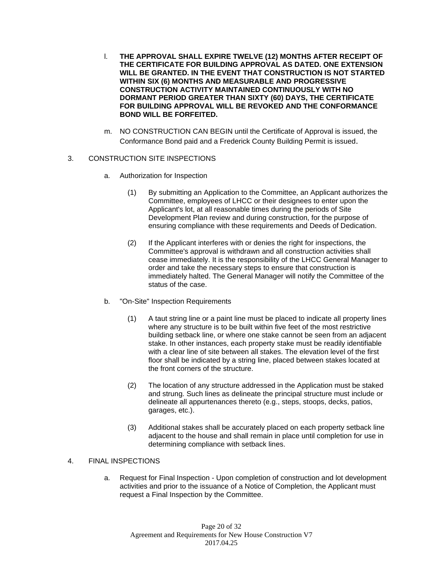- l. **THE APPROVAL SHALL EXPIRE TWELVE (12) MONTHS AFTER RECEIPT OF THE CERTIFICATE FOR BUILDING APPROVAL AS DATED. ONE EXTENSION WILL BE GRANTED. IN THE EVENT THAT CONSTRUCTION IS NOT STARTED WITHIN SIX (6) MONTHS AND MEASURABLE AND PROGRESSIVE CONSTRUCTION ACTIVITY MAINTAINED CONTINUOUSLY WITH NO DORMANT PERIOD GREATER THAN SIXTY (60) DAYS, THE CERTIFICATE FOR BUILDING APPROVAL WILL BE REVOKED AND THE CONFORMANCE BOND WILL BE FORFEITED.**
- m. NO CONSTRUCTION CAN BEGIN until the Certificate of Approval is issued, the Conformance Bond paid and a Frederick County Building Permit is issued.

#### 3. CONSTRUCTION SITE INSPECTIONS

- a. Authorization for Inspection
	- (1) By submitting an Application to the Committee, an Applicant authorizes the Committee, employees of LHCC or their designees to enter upon the Applicant's lot, at all reasonable times during the periods of Site Development Plan review and during construction, for the purpose of ensuring compliance with these requirements and Deeds of Dedication.
	- (2) If the Applicant interferes with or denies the right for inspections, the Committee's approval is withdrawn and all construction activities shall cease immediately. It is the responsibility of the LHCC General Manager to order and take the necessary steps to ensure that construction is immediately halted. The General Manager will notify the Committee of the status of the case.
- b. "On-Site" Inspection Requirements
	- (1) A taut string line or a paint line must be placed to indicate all property lines where any structure is to be built within five feet of the most restrictive building setback line, or where one stake cannot be seen from an adjacent stake. In other instances, each property stake must be readily identifiable with a clear line of site between all stakes. The elevation level of the first floor shall be indicated by a string line, placed between stakes located at the front corners of the structure.
	- (2) The location of any structure addressed in the Application must be staked and strung. Such lines as delineate the principal structure must include or delineate all appurtenances thereto (e.g., steps, stoops, decks, patios, garages, etc.).
	- (3) Additional stakes shall be accurately placed on each property setback line adjacent to the house and shall remain in place until completion for use in determining compliance with setback lines.

#### 4. FINAL INSPECTIONS

a. Request for Final Inspection - Upon completion of construction and lot development activities and prior to the issuance of a Notice of Completion, the Applicant must request a Final Inspection by the Committee.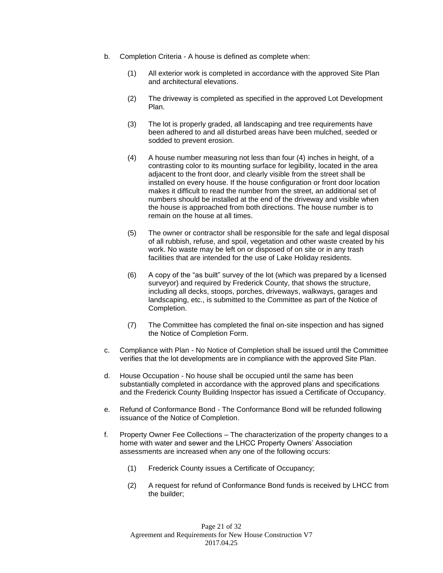- b. Completion Criteria A house is defined as complete when:
	- (1) All exterior work is completed in accordance with the approved Site Plan and architectural elevations.
	- (2) The driveway is completed as specified in the approved Lot Development Plan.
	- (3) The lot is properly graded, all landscaping and tree requirements have been adhered to and all disturbed areas have been mulched, seeded or sodded to prevent erosion.
	- (4) A house number measuring not less than four (4) inches in height, of a contrasting color to its mounting surface for legibility, located in the area adjacent to the front door, and clearly visible from the street shall be installed on every house. If the house configuration or front door location makes it difficult to read the number from the street, an additional set of numbers should be installed at the end of the driveway and visible when the house is approached from both directions. The house number is to remain on the house at all times.
	- (5) The owner or contractor shall be responsible for the safe and legal disposal of all rubbish, refuse, and spoil, vegetation and other waste created by his work. No waste may be left on or disposed of on site or in any trash facilities that are intended for the use of Lake Holiday residents.
	- (6) A copy of the "as built" survey of the lot (which was prepared by a licensed surveyor) and required by Frederick County, that shows the structure, including all decks, stoops, porches, driveways, walkways, garages and landscaping, etc., is submitted to the Committee as part of the Notice of Completion.
	- (7) The Committee has completed the final on-site inspection and has signed the Notice of Completion Form.
- c. Compliance with Plan No Notice of Completion shall be issued until the Committee verifies that the lot developments are in compliance with the approved Site Plan.
- d. House Occupation No house shall be occupied until the same has been substantially completed in accordance with the approved plans and specifications and the Frederick County Building Inspector has issued a Certificate of Occupancy.
- e. Refund of Conformance Bond The Conformance Bond will be refunded following issuance of the Notice of Completion.
- f. Property Owner Fee Collections The characterization of the property changes to a home with water and sewer and the LHCC Property Owners' Association assessments are increased when any one of the following occurs:
	- (1) Frederick County issues a Certificate of Occupancy;
	- (2) A request for refund of Conformance Bond funds is received by LHCC from the builder;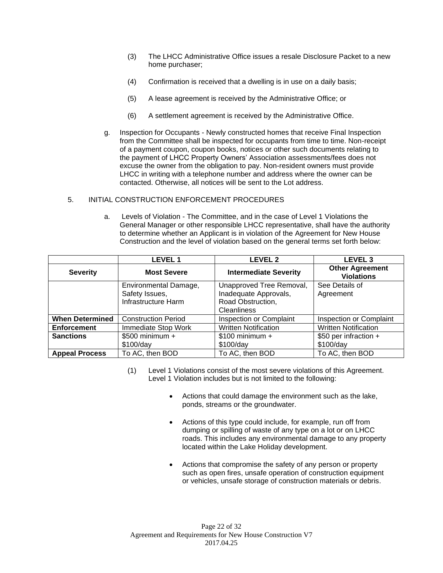- (3) The LHCC Administrative Office issues a resale Disclosure Packet to a new home purchaser;
- (4) Confirmation is received that a dwelling is in use on a daily basis;
- (5) A lease agreement is received by the Administrative Office; or
- (6) A settlement agreement is received by the Administrative Office.
- g. Inspection for Occupants Newly constructed homes that receive Final Inspection from the Committee shall be inspected for occupants from time to time. Non-receipt of a payment coupon, coupon books, notices or other such documents relating to the payment of LHCC Property Owners' Association assessments/fees does not excuse the owner from the obligation to pay. Non-resident owners must provide LHCC in writing with a telephone number and address where the owner can be contacted. Otherwise, all notices will be sent to the Lot address.

#### 5. INITIAL CONSTRUCTION ENFORCEMENT PROCEDURES

a. Levels of Violation - The Committee, and in the case of Level 1 Violations the General Manager or other responsible LHCC representative, shall have the authority to determine whether an Applicant is in violation of the Agreement for New House Construction and the level of violation based on the general terms set forth below:

|                        | <b>LEVEL1</b>              | <b>LEVEL 2</b>               | <b>LEVEL 3</b>                              |
|------------------------|----------------------------|------------------------------|---------------------------------------------|
| <b>Severity</b>        | <b>Most Severe</b>         | <b>Intermediate Severity</b> | <b>Other Agreement</b><br><b>Violations</b> |
|                        | Environmental Damage,      | Unapproved Tree Removal,     | See Details of                              |
|                        | Safety Issues,             | Inadequate Approvals,        | Agreement                                   |
|                        | Infrastructure Harm        | Road Obstruction,            |                                             |
|                        |                            | Cleanliness                  |                                             |
| <b>When Determined</b> | <b>Construction Period</b> | Inspection or Complaint      | <b>Inspection or Complaint</b>              |
| <b>Enforcement</b>     | Immediate Stop Work        | <b>Written Notification</b>  | <b>Written Notification</b>                 |
| <b>Sanctions</b>       | $$500$ minimum +           | $$100$ minimum +             | \$50 per infraction +                       |
|                        | \$100/day                  | \$100/day                    | \$100/day                                   |
| <b>Appeal Process</b>  | To AC, then BOD            | To AC, then BOD              | To AC, then BOD                             |

- (1) Level 1 Violations consist of the most severe violations of this Agreement. Level 1 Violation includes but is not limited to the following:
	- Actions that could damage the environment such as the lake, ponds, streams or the groundwater.
	- Actions of this type could include, for example, run off from dumping or spilling of waste of any type on a lot or on LHCC roads. This includes any environmental damage to any property located within the Lake Holiday development.
	- Actions that compromise the safety of any person or property such as open fires, unsafe operation of construction equipment or vehicles, unsafe storage of construction materials or debris.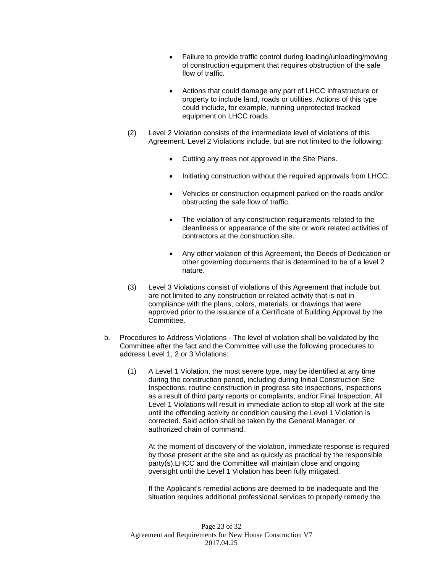- Failure to provide traffic control during loading/unloading/moving of construction equipment that requires obstruction of the safe flow of traffic.
- Actions that could damage any part of LHCC infrastructure or property to include land, roads or utilities. Actions of this type could include, for example, running unprotected tracked equipment on LHCC roads.
- (2) Level 2 Violation consists of the intermediate level of violations of this Agreement. Level 2 Violations include, but are not limited to the following:
	- Cutting any trees not approved in the Site Plans.
	- Initiating construction without the required approvals from LHCC.
	- Vehicles or construction equipment parked on the roads and/or obstructing the safe flow of traffic.
	- The violation of any construction requirements related to the cleanliness or appearance of the site or work related activities of contractors at the construction site.
	- Any other violation of this Agreement, the Deeds of Dedication or other governing documents that is determined to be of a level 2 nature.
- (3) Level 3 Violations consist of violations of this Agreement that include but are not limited to any construction or related activity that is not in compliance with the plans, colors, materials, or drawings that were approved prior to the issuance of a Certificate of Building Approval by the Committee.
- b. Procedures to Address Violations The level of violation shall be validated by the Committee after the fact and the Committee will use the following procedures to address Level 1, 2 or 3 Violations:
	- (1) A Level 1 Violation, the most severe type, may be identified at any time during the construction period, including during Initial Construction Site Inspections, routine construction in progress site inspections, inspections as a result of third party reports or complaints, and/or Final Inspection. All Level 1 Violations will result in immediate action to stop all work at the site until the offending activity or condition causing the Level 1 Violation is corrected. Said action shall be taken by the General Manager, or authorized chain of command.

At the moment of discovery of the violation, immediate response is required by those present at the site and as quickly as practical by the responsible party(s).LHCC and the Committee will maintain close and ongoing oversight until the Level 1 Violation has been fully mitigated.

If the Applicant's remedial actions are deemed to be inadequate and the situation requires additional professional services to properly remedy the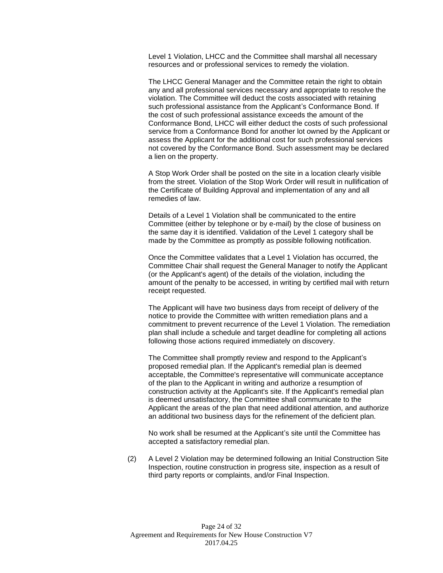Level 1 Violation, LHCC and the Committee shall marshal all necessary resources and or professional services to remedy the violation.

The LHCC General Manager and the Committee retain the right to obtain any and all professional services necessary and appropriate to resolve the violation. The Committee will deduct the costs associated with retaining such professional assistance from the Applicant's Conformance Bond. If the cost of such professional assistance exceeds the amount of the Conformance Bond, LHCC will either deduct the costs of such professional service from a Conformance Bond for another lot owned by the Applicant or assess the Applicant for the additional cost for such professional services not covered by the Conformance Bond. Such assessment may be declared a lien on the property.

A Stop Work Order shall be posted on the site in a location clearly visible from the street. Violation of the Stop Work Order will result in nullification of the Certificate of Building Approval and implementation of any and all remedies of law.

Details of a Level 1 Violation shall be communicated to the entire Committee (either by telephone or by e-mail) by the close of business on the same day it is identified. Validation of the Level 1 category shall be made by the Committee as promptly as possible following notification.

Once the Committee validates that a Level 1 Violation has occurred, the Committee Chair shall request the General Manager to notify the Applicant (or the Applicant's agent) of the details of the violation, including the amount of the penalty to be accessed, in writing by certified mail with return receipt requested.

The Applicant will have two business days from receipt of delivery of the notice to provide the Committee with written remediation plans and a commitment to prevent recurrence of the Level 1 Violation. The remediation plan shall include a schedule and target deadline for completing all actions following those actions required immediately on discovery.

The Committee shall promptly review and respond to the Applicant's proposed remedial plan. If the Applicant's remedial plan is deemed acceptable, the Committee's representative will communicate acceptance of the plan to the Applicant in writing and authorize a resumption of construction activity at the Applicant's site. If the Applicant's remedial plan is deemed unsatisfactory, the Committee shall communicate to the Applicant the areas of the plan that need additional attention, and authorize an additional two business days for the refinement of the deficient plan.

No work shall be resumed at the Applicant's site until the Committee has accepted a satisfactory remedial plan.

(2) A Level 2 Violation may be determined following an Initial Construction Site Inspection, routine construction in progress site, inspection as a result of third party reports or complaints, and/or Final Inspection.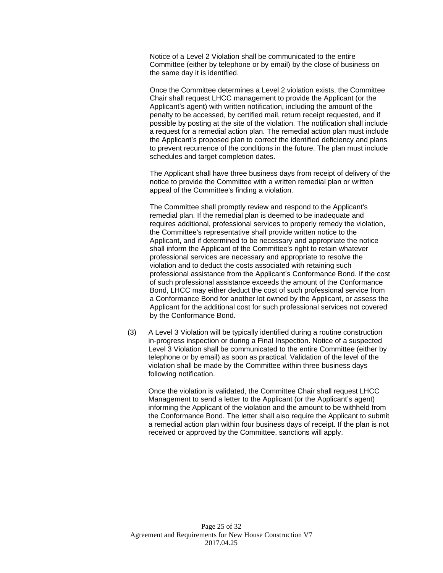Notice of a Level 2 Violation shall be communicated to the entire Committee (either by telephone or by email) by the close of business on the same day it is identified.

Once the Committee determines a Level 2 violation exists, the Committee Chair shall request LHCC management to provide the Applicant (or the Applicant's agent) with written notification, including the amount of the penalty to be accessed, by certified mail, return receipt requested, and if possible by posting at the site of the violation. The notification shall include a request for a remedial action plan. The remedial action plan must include the Applicant's proposed plan to correct the identified deficiency and plans to prevent recurrence of the conditions in the future. The plan must include schedules and target completion dates.

The Applicant shall have three business days from receipt of delivery of the notice to provide the Committee with a written remedial plan or written appeal of the Committee's finding a violation.

The Committee shall promptly review and respond to the Applicant's remedial plan. If the remedial plan is deemed to be inadequate and requires additional, professional services to properly remedy the violation, the Committee's representative shall provide written notice to the Applicant, and if determined to be necessary and appropriate the notice shall inform the Applicant of the Committee's right to retain whatever professional services are necessary and appropriate to resolve the violation and to deduct the costs associated with retaining such professional assistance from the Applicant's Conformance Bond. If the cost of such professional assistance exceeds the amount of the Conformance Bond, LHCC may either deduct the cost of such professional service from a Conformance Bond for another lot owned by the Applicant, or assess the Applicant for the additional cost for such professional services not covered by the Conformance Bond.

(3) A Level 3 Violation will be typically identified during a routine construction in-progress inspection or during a Final Inspection. Notice of a suspected Level 3 Violation shall be communicated to the entire Committee (either by telephone or by email) as soon as practical. Validation of the level of the violation shall be made by the Committee within three business days following notification.

Once the violation is validated, the Committee Chair shall request LHCC Management to send a letter to the Applicant (or the Applicant's agent) informing the Applicant of the violation and the amount to be withheld from the Conformance Bond. The letter shall also require the Applicant to submit a remedial action plan within four business days of receipt. If the plan is not received or approved by the Committee, sanctions will apply.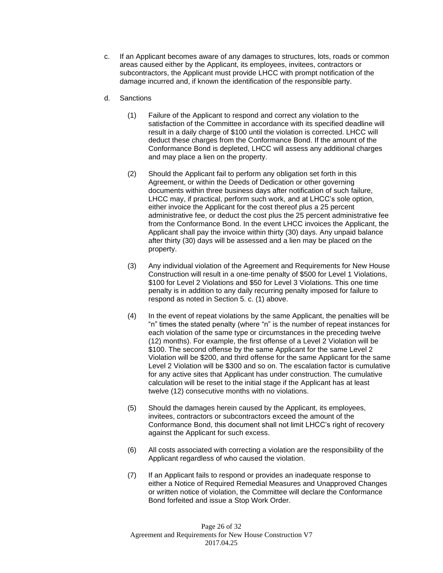- c. If an Applicant becomes aware of any damages to structures, lots, roads or common areas caused either by the Applicant, its employees, invitees, contractors or subcontractors, the Applicant must provide LHCC with prompt notification of the damage incurred and, if known the identification of the responsible party.
- d. Sanctions
	- (1) Failure of the Applicant to respond and correct any violation to the satisfaction of the Committee in accordance with its specified deadline will result in a daily charge of \$100 until the violation is corrected. LHCC will deduct these charges from the Conformance Bond. If the amount of the Conformance Bond is depleted, LHCC will assess any additional charges and may place a lien on the property.
	- (2) Should the Applicant fail to perform any obligation set forth in this Agreement, or within the Deeds of Dedication or other governing documents within three business days after notification of such failure, LHCC may, if practical, perform such work, and at LHCC's sole option, either invoice the Applicant for the cost thereof plus a 25 percent administrative fee, or deduct the cost plus the 25 percent administrative fee from the Conformance Bond. In the event LHCC invoices the Applicant, the Applicant shall pay the invoice within thirty (30) days. Any unpaid balance after thirty (30) days will be assessed and a lien may be placed on the property.
	- (3) Any individual violation of the Agreement and Requirements for New House Construction will result in a one-time penalty of \$500 for Level 1 Violations, \$100 for Level 2 Violations and \$50 for Level 3 Violations. This one time penalty is in addition to any daily recurring penalty imposed for failure to respond as noted in Section 5. c. (1) above.
	- (4) In the event of repeat violations by the same Applicant, the penalties will be "n" times the stated penalty (where "n" is the number of repeat instances for each violation of the same type or circumstances in the preceding twelve (12) months). For example, the first offense of a Level 2 Violation will be \$100. The second offense by the same Applicant for the same Level 2 Violation will be \$200, and third offense for the same Applicant for the same Level 2 Violation will be \$300 and so on. The escalation factor is cumulative for any active sites that Applicant has under construction. The cumulative calculation will be reset to the initial stage if the Applicant has at least twelve (12) consecutive months with no violations.
	- (5) Should the damages herein caused by the Applicant, its employees, invitees, contractors or subcontractors exceed the amount of the Conformance Bond, this document shall not limit LHCC's right of recovery against the Applicant for such excess.
	- (6) All costs associated with correcting a violation are the responsibility of the Applicant regardless of who caused the violation.
	- (7) If an Applicant fails to respond or provides an inadequate response to either a Notice of Required Remedial Measures and Unapproved Changes or written notice of violation, the Committee will declare the Conformance Bond forfeited and issue a Stop Work Order.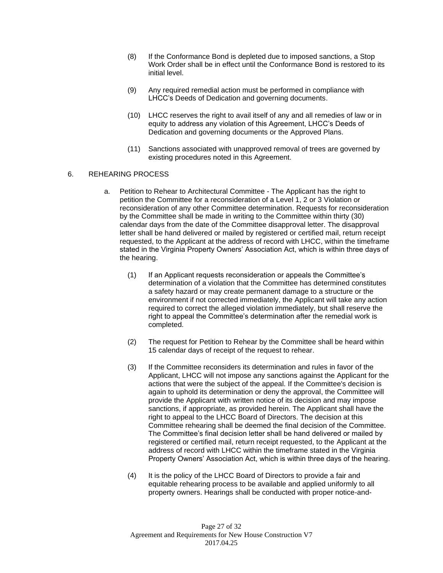- (8) If the Conformance Bond is depleted due to imposed sanctions, a Stop Work Order shall be in effect until the Conformance Bond is restored to its initial level.
- (9) Any required remedial action must be performed in compliance with LHCC's Deeds of Dedication and governing documents.
- (10) LHCC reserves the right to avail itself of any and all remedies of law or in equity to address any violation of this Agreement, LHCC's Deeds of Dedication and governing documents or the Approved Plans.
- (11) Sanctions associated with unapproved removal of trees are governed by existing procedures noted in this Agreement.

#### 6. REHEARING PROCESS

- a. Petition to Rehear to Architectural Committee The Applicant has the right to petition the Committee for a reconsideration of a Level 1, 2 or 3 Violation or reconsideration of any other Committee determination. Requests for reconsideration by the Committee shall be made in writing to the Committee within thirty (30) calendar days from the date of the Committee disapproval letter. The disapproval letter shall be hand delivered or mailed by registered or certified mail, return receipt requested, to the Applicant at the address of record with LHCC, within the timeframe stated in the Virginia Property Owners' Association Act, which is within three days of the hearing.
	- (1) If an Applicant requests reconsideration or appeals the Committee's determination of a violation that the Committee has determined constitutes a safety hazard or may create permanent damage to a structure or the environment if not corrected immediately, the Applicant will take any action required to correct the alleged violation immediately, but shall reserve the right to appeal the Committee's determination after the remedial work is completed.
	- (2) The request for Petition to Rehear by the Committee shall be heard within 15 calendar days of receipt of the request to rehear.
	- (3) If the Committee reconsiders its determination and rules in favor of the Applicant, LHCC will not impose any sanctions against the Applicant for the actions that were the subject of the appeal. If the Committee's decision is again to uphold its determination or deny the approval, the Committee will provide the Applicant with written notice of its decision and may impose sanctions, if appropriate, as provided herein. The Applicant shall have the right to appeal to the LHCC Board of Directors. The decision at this Committee rehearing shall be deemed the final decision of the Committee. The Committee's final decision letter shall be hand delivered or mailed by registered or certified mail, return receipt requested, to the Applicant at the address of record with LHCC within the timeframe stated in the Virginia Property Owners' Association Act, which is within three days of the hearing.
	- (4) It is the policy of the LHCC Board of Directors to provide a fair and equitable rehearing process to be available and applied uniformly to all property owners. Hearings shall be conducted with proper notice-and-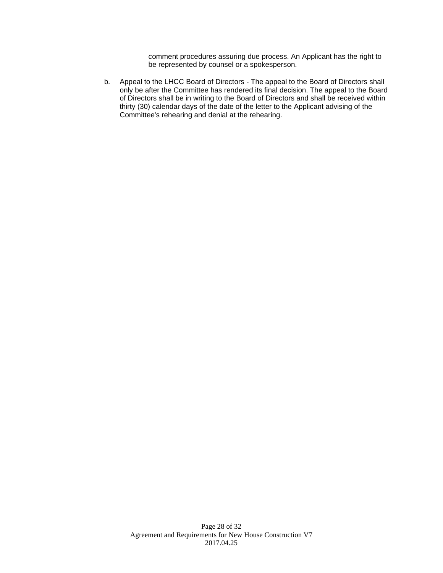comment procedures assuring due process. An Applicant has the right to be represented by counsel or a spokesperson.

b. Appeal to the LHCC Board of Directors - The appeal to the Board of Directors shall only be after the Committee has rendered its final decision. The appeal to the Board of Directors shall be in writing to the Board of Directors and shall be received within thirty (30) calendar days of the date of the letter to the Applicant advising of the Committee's rehearing and denial at the rehearing.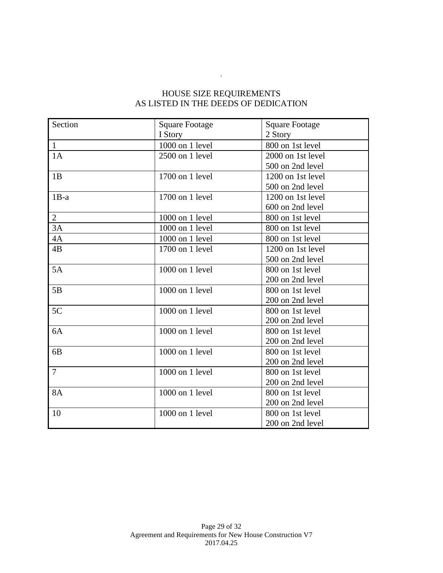## HOUSE SIZE REQUIREMENTS AS LISTED IN THE DEEDS OF DEDICATION

.

| Section        | <b>Square Footage</b> | <b>Square Footage</b> |  |
|----------------|-----------------------|-----------------------|--|
|                | I Story               | 2 Story               |  |
| $\mathbf{1}$   | 1000 on 1 level       | 800 on 1st level      |  |
| 1A             | $2500$ on 1 level     | 2000 on 1st level     |  |
|                |                       | 500 on 2nd level      |  |
| 1B             | 1700 on 1 level       | 1200 on 1st level     |  |
|                |                       | 500 on 2nd level      |  |
| $1B-a$         | 1700 on 1 level       | 1200 on 1st level     |  |
|                |                       | 600 on 2nd level      |  |
| $\overline{2}$ | 1000 on 1 level       | 800 on 1st level      |  |
| 3A             | 1000 on 1 level       | 800 on 1st level      |  |
| 4A             | 1000 on 1 level       | 800 on 1st level      |  |
| 4B             | 1700 on 1 level       | 1200 on 1st level     |  |
|                |                       | 500 on 2nd level      |  |
| 5A             | 1000 on 1 level       | 800 on 1st level      |  |
|                |                       | 200 on 2nd level      |  |
| 5B             | 1000 on 1 level       | 800 on 1st level      |  |
|                |                       | 200 on 2nd level      |  |
| 5C             | 1000 on 1 level       | 800 on 1st level      |  |
|                |                       | 200 on 2nd level      |  |
| 6A             | 1000 on 1 level       | 800 on 1st level      |  |
|                |                       | 200 on 2nd level      |  |
| 6 <sub>B</sub> | 1000 on 1 level       | 800 on 1st level      |  |
|                |                       | 200 on 2nd level      |  |
| $\overline{7}$ | 1000 on 1 level       | 800 on 1st level      |  |
|                |                       | 200 on 2nd level      |  |
| <b>8A</b>      | 1000 on 1 level       | 800 on 1st level      |  |
|                |                       | 200 on 2nd level      |  |
| 10             | 1000 on 1 level       | 800 on 1st level      |  |
|                |                       | 200 on 2nd level      |  |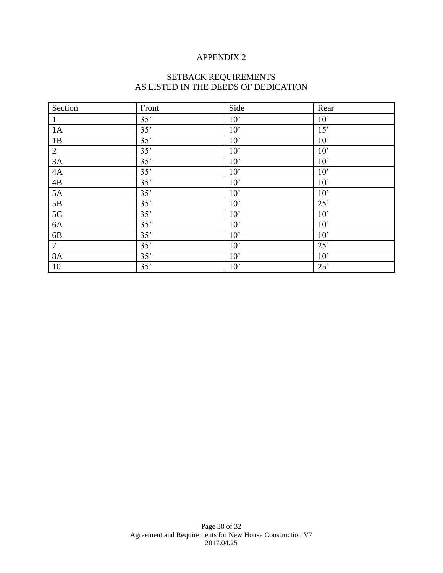## APPENDIX 2

#### SETBACK REQUIREMENTS AS LISTED IN THE DEEDS OF DEDICATION

| Section        | Front | Side            | Rear |
|----------------|-------|-----------------|------|
| 1              | 35'   | 10'             | 10'  |
| 1A             | 35'   | 10 <sup>2</sup> | 15'  |
| 1B             | 35'   | 10'             | 10'  |
| $\overline{2}$ | 35'   | 10'             | 10'  |
| 3A             | 35'   | 10'             | 10'  |
| $4\mathrm{A}$  | 35'   | 10'             | 10'  |
| $4\mathrm{B}$  | 35'   | 10'             | 10'  |
| $5A$           | 35'   | 10 <sup>2</sup> | 10'  |
| $5\mathrm{B}$  | 35'   | 10'             | 25'  |
| 5C             | 35'   | 10'             | 10'  |
| $6A$           | 35'   | 10 <sup>2</sup> | 10'  |
| 6 <sub>B</sub> | 35'   | 10'             | 10'  |
| $\overline{7}$ | 35'   | 10'             | 25'  |
| <b>8A</b>      | 35'   | 10'             | 10'  |
| 10             | 35'   | 10'             | 25'  |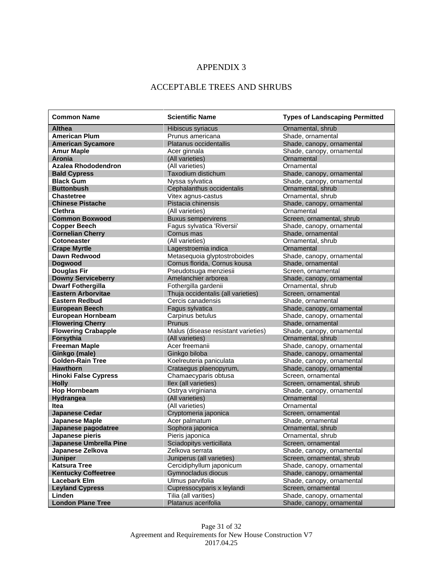## APPENDIX 3

## ACCEPTABLE TREES AND SHRUBS

| <b>Common Name</b>            | <b>Scientific Name</b>              | <b>Types of Landscaping Permitted</b> |  |
|-------------------------------|-------------------------------------|---------------------------------------|--|
| <b>Althea</b>                 | Hibiscus syriacus                   | Ornamental, shrub                     |  |
| <b>American Plum</b>          | Prunus americana                    | Shade, ornamental                     |  |
| <b>American Sycamore</b>      | Platanus occidentallis              | Shade, canopy, ornamental             |  |
| <b>Amur Maple</b>             | Acer ginnala                        | Shade, canopy, ornamental             |  |
| Aronia                        | (All varieties)                     | Ornamental                            |  |
| <b>Azalea Rhododendron</b>    | (All varieties)                     | Ornamental                            |  |
| <b>Bald Cypress</b>           | Taxodium distichum                  | Shade, canopy, ornamental             |  |
| <b>Black Gum</b>              | Nyssa sylvatica                     | Shade, canopy, ornamental             |  |
| <b>Buttonbush</b>             | Cephalanthus occidentalis           | Ornamental, shrub                     |  |
| <b>Chastetree</b>             | Vitex agnus-castus                  | Ornamental, shrub                     |  |
| <b>Chinese Pistache</b>       | Pistacia chinensis                  | Shade, canopy, ornamental             |  |
| <b>Clethra</b>                | (All varieties)                     | Ornamental                            |  |
| <b>Common Boxwood</b>         | <b>Buxus sempervirens</b>           | Screen, ornamental, shrub             |  |
| <b>Copper Beech</b>           | Fagus sylvatica 'Riversii'          | Shade, canopy, ornamental             |  |
| <b>Cornelian Cherry</b>       | Cornus mas                          | Shade, ornamental                     |  |
| <b>Cotoneaster</b>            | (All varieties)                     | Ornamental, shrub                     |  |
| <b>Crape Myrtle</b>           | Lagerstroemia indica                | Ornamental                            |  |
| <b>Dawn Redwood</b>           | Metasequoia glyptostroboides        | Shade, canopy, ornamental             |  |
| <b>Doawood</b>                | Cornus florida, Cornus kousa        | Shade, ornamental                     |  |
| <b>Douglas Fir</b>            | Pseudotsuga menziesii               | Screen, ornamental                    |  |
| <b>Downy Serviceberry</b>     | Amelanchier arborea                 | Shade, canopy, ornamental             |  |
| <b>Dwarf Fothergilla</b>      | Fothergilla gardenii                | Ornamental, shrub                     |  |
| <b>Eastern Arborvitae</b>     | Thuja occidentalis (all varieties)  | Screen, ornamental                    |  |
| <b>Eastern Redbud</b>         | Cercis canadensis                   | Shade, ornamental                     |  |
| <b>European Beech</b>         | Fagus sylvatica                     | Shade, canopy, ornamental             |  |
| <b>European Hornbeam</b>      | Carpinus betulus                    | Shade, canopy, ornamental             |  |
| <b>Flowering Cherry</b>       | Prunus                              | Shade, ornamental                     |  |
| <b>Flowering Crabapple</b>    | Malus (disease resistant varieties) | Shade, canopy, ornamental             |  |
| Forsythia                     | (All varieties)                     | Ornamental, shrub                     |  |
| <b>Freeman Maple</b>          | Acer freemanii                      | Shade, canopy, ornamental             |  |
| Ginkgo (male)                 | Ginkgo biloba                       | Shade, canopy, ornamental             |  |
| <b>Golden-Rain Tree</b>       | Koelreuteria paniculata             | Shade, canopy, ornamental             |  |
| <b>Hawthorn</b>               | Crataegus plaenopyrum,              | Shade, canopy, ornamental             |  |
| <b>Hinoki False Cypress</b>   | Chamaecyparis obtusa                | Screen, ornamental                    |  |
| <b>Holly</b>                  | Ilex (all varieties)                | Screen, ornamental, shrub             |  |
| <b>Hop Hornbeam</b>           | Ostrya virginiana                   | Shade, canopy, ornamental             |  |
| <b>Hydrangea</b>              | (All varieties)                     | Ornamental                            |  |
| Itea                          | (All varieties)                     | Ornamental                            |  |
| <b>Japanese Cedar</b>         | Cryptomeria japonica                | Screen, ornamental                    |  |
| <b>Japanese Maple</b>         | Acer palmatum                       | Shade, ornamental                     |  |
| Japanese pagodatree           | Sophora japonica                    | Ornamental, shrub                     |  |
| Japanese pieris               | Pieris japonica                     | Ornamental, shrub                     |  |
| <b>Japanese Umbrella Pine</b> | Sciadopitys verticillata            | Screen, ornamental                    |  |
| Japanese Zelkova              | Zelkova serrata                     | Shade, canopy, ornamental             |  |
| <b>Juniper</b>                | Juniperus (all varieties)           | Screen, ornamental, shrub             |  |
| <b>Katsura Tree</b>           | Cercidiphyllum japonicum            | Shade, canopy, ornamental             |  |
| <b>Kentucky Coffeetree</b>    | Gymnocladus diocus                  | Shade, canopy, ornamental             |  |
| <b>Lacebark Elm</b>           | Ulmus parvifolia                    | Shade, canopy, ornamental             |  |
| <b>Leyland Cypress</b>        | Cupressocyparis x leylandi          | Screen, ornamental                    |  |
| Linden                        | Tilia (all varities)                | Shade, canopy, ornamental             |  |
| <b>London Plane Tree</b>      | Platanus acerifolia                 | Shade, canopy, ornamental             |  |

Page 31 of 32 Agreement and Requirements for New House Construction V7 2017.04.25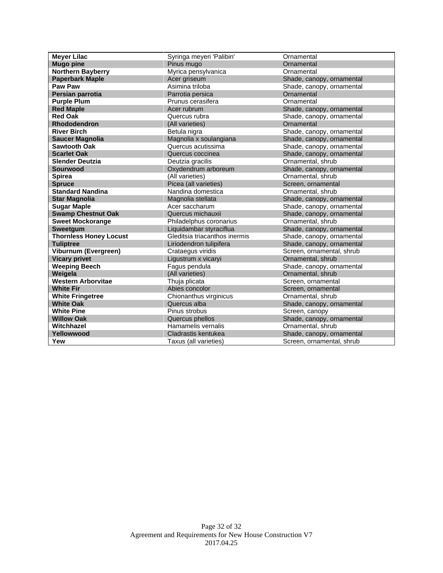| <b>Meyer Lilac</b>            | Syringa meyeri 'Palibin'      | Ornamental                |  |
|-------------------------------|-------------------------------|---------------------------|--|
| <b>Mugo pine</b>              | Pinus mugo                    | Ornamental                |  |
| <b>Northern Bayberry</b>      | Myrica pensylvanica           | Ornamental                |  |
| <b>Paperbark Maple</b>        | Acer griseum                  | Shade, canopy, ornamental |  |
| <b>Paw Paw</b>                | Asimina triloba               | Shade, canopy, ornamental |  |
| Persian parrotia              | Parrotia persica              | Ornamental                |  |
| <b>Purple Plum</b>            | Prunus cerasifera             | Ornamental                |  |
| <b>Red Maple</b>              | Acer rubrum                   | Shade, canopy, ornamental |  |
| <b>Red Oak</b>                | Quercus rubra                 | Shade, canopy, ornamental |  |
| <b>Rhododendron</b>           | (All varieties)               | Ornamental                |  |
| <b>River Birch</b>            | Betula nigra                  | Shade, canopy, ornamental |  |
| <b>Saucer Magnolia</b>        | Magnolia x soulangiana        | Shade, canopy, ornamental |  |
| <b>Sawtooth Oak</b>           | Quercus acutissima            | Shade, canopy, ornamental |  |
| <b>Scarlet Oak</b>            | Quercus coccinea              | Shade, canopy, ornamental |  |
| <b>Slender Deutzia</b>        | Deutzia gracilis              | Ornamental, shrub         |  |
| <b>Sourwood</b>               | Oxydendrum arboreum           | Shade, canopy, ornamental |  |
| <b>Spirea</b>                 | (All varieties)               | Ornamental, shrub         |  |
| <b>Spruce</b>                 | Picea (all varieties)         | Screen, ornamental        |  |
| <b>Standard Nandina</b>       | Nandina domestica             | Ornamental, shrub         |  |
| <b>Star Magnolia</b>          | Magnolia stellata             | Shade, canopy, ornamental |  |
| <b>Sugar Maple</b>            | Acer saccharum                | Shade, canopy, ornamental |  |
| <b>Swamp Chestnut Oak</b>     | Quercus michauxii             | Shade, canopy, ornamental |  |
| <b>Sweet Mockorange</b>       | Philadelphus coronarius       | Ornamental, shrub         |  |
| Sweetgum                      | Liquidambar styraciflua       | Shade, canopy, ornamental |  |
| <b>Thornless Honey Locust</b> | Gleditsia triacanthos inermis | Shade, canopy, ornamental |  |
| <b>Tuliptree</b>              | Liriodendron tulipifera       | Shade, canopy, ornamental |  |
| Viburnum (Evergreen)          | Crataegus viridis             | Screen, ornamental, shrub |  |
| <b>Vicary privet</b>          | Ligustrum x vicaryi           | Ornamental, shrub         |  |
| <b>Weeping Beech</b>          | Fagus pendula                 | Shade, canopy, ornamental |  |
| Weigela                       | (All varieties)               | Ornamental, shrub         |  |
| <b>Western Arborvitae</b>     | Thuja plicata                 | Screen, ornamental        |  |
| <b>White Fir</b>              | Abies concolor                | Screen, ornamental        |  |
| <b>White Fringetree</b>       | Chionanthus virginicus        | Ornamental, shrub         |  |
| <b>White Oak</b>              | Quercus alba                  | Shade, canopy, ornamental |  |
| <b>White Pine</b>             | Pinus strobus                 | Screen, canopy            |  |
| <b>Willow Oak</b>             | Quercus phellos               | Shade, canopy, ornamental |  |
| Witchhazel                    | Hamamelis vernalis            | Ornamental, shrub         |  |
| Yellowwood                    | Cladrastis kentukea           | Shade, canopy, ornamental |  |
| Yew                           | Taxus (all varieties)         | Screen, ornamental, shrub |  |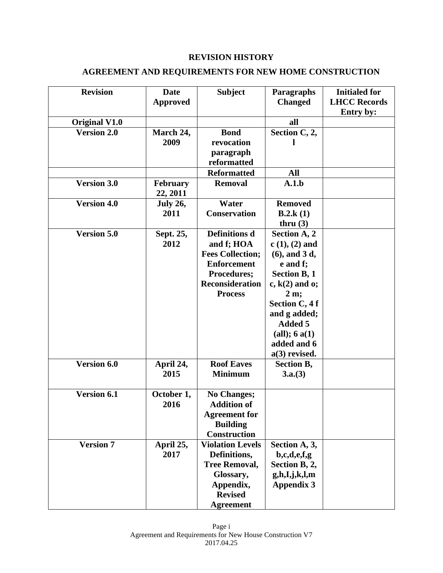## **REVISION HISTORY**

## **AGREEMENT AND REQUIREMENTS FOR NEW HOME CONSTRUCTION**

| <b>Revision</b>      | <b>Date</b><br><b>Approved</b> | <b>Subject</b>                                                                                                                                 | Paragraphs<br><b>Changed</b>                                                                                                                                                                                          | <b>Initialed for</b><br><b>LHCC Records</b><br>Entry by: |
|----------------------|--------------------------------|------------------------------------------------------------------------------------------------------------------------------------------------|-----------------------------------------------------------------------------------------------------------------------------------------------------------------------------------------------------------------------|----------------------------------------------------------|
| <b>Original V1.0</b> |                                |                                                                                                                                                | all                                                                                                                                                                                                                   |                                                          |
| <b>Version 2.0</b>   | March 24,<br>2009              | <b>Bond</b><br>revocation<br>paragraph<br>reformatted                                                                                          | Section C, 2,                                                                                                                                                                                                         |                                                          |
|                      |                                | <b>Reformatted</b>                                                                                                                             | All                                                                                                                                                                                                                   |                                                          |
| <b>Version 3.0</b>   | February<br>22, 2011           | <b>Removal</b>                                                                                                                                 | A.1.b                                                                                                                                                                                                                 |                                                          |
| <b>Version 4.0</b>   | <b>July 26,</b><br>2011        | Water<br><b>Conservation</b>                                                                                                                   | <b>Removed</b><br><b>B.2.k</b> $(1)$<br>thru $(3)$                                                                                                                                                                    |                                                          |
| <b>Version 5.0</b>   | Sept. 25,<br>2012              | <b>Definitions d</b><br>and f; HOA<br><b>Fees Collection;</b><br><b>Enforcement</b><br>Procedures;<br><b>Reconsideration</b><br><b>Process</b> | Section A, 2<br>$c(1), (2)$ and<br>$(6)$ , and 3 d,<br>e and f;<br>Section B, 1<br>$c, k(2)$ and $o;$<br>$2m$ ;<br>Section C, 4 f<br>and g added;<br><b>Added 5</b><br>(all); 6a(1)<br>added and 6<br>$a(3)$ revised. |                                                          |
| Version 6.0          | April 24,<br>2015              | <b>Roof Eaves</b><br><b>Minimum</b>                                                                                                            | <b>Section B,</b><br>3.a.(3)                                                                                                                                                                                          |                                                          |
| Version 6.1          | October 1,<br>2016             | <b>No Changes;</b><br><b>Addition of</b><br><b>Agreement</b> for<br><b>Building</b><br><b>Construction</b>                                     |                                                                                                                                                                                                                       |                                                          |
| <b>Version 7</b>     | April 25,<br>2017              | <b>Violation Levels</b><br>Definitions,<br><b>Tree Removal,</b><br>Glossary,<br>Appendix,<br><b>Revised</b><br><b>Agreement</b>                | Section A, 3,<br>b,c,d,e,f,g<br>Section B, 2,<br>g,h,I,j,k,l,m<br><b>Appendix 3</b>                                                                                                                                   |                                                          |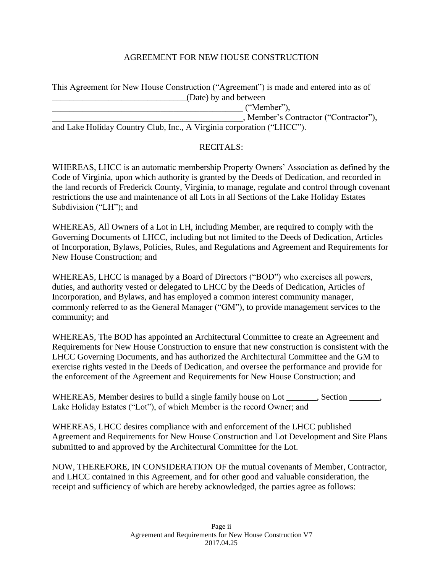## AGREEMENT FOR NEW HOUSE CONSTRUCTION

This Agreement for New House Construction ("Agreement") is made and entered into as of \_\_\_\_\_\_\_\_\_\_\_\_\_\_\_\_\_\_\_\_\_\_\_\_\_\_\_\_\_\_\_(Date) by and between

\_\_\_\_\_\_\_\_\_\_\_\_\_\_\_\_\_\_\_\_\_\_\_\_\_\_\_\_\_\_\_\_\_\_\_\_\_\_\_\_\_\_\_\_ ("Member"),

\_\_\_\_\_\_\_\_\_\_\_\_\_\_\_\_\_\_\_\_\_\_\_\_\_\_\_\_\_\_\_\_\_\_\_\_\_\_\_\_\_\_\_\_, Member's Contractor ("Contractor"),

and Lake Holiday Country Club, Inc., A Virginia corporation ("LHCC").

### RECITALS:

WHEREAS, LHCC is an automatic membership Property Owners' Association as defined by the Code of Virginia, upon which authority is granted by the Deeds of Dedication, and recorded in the land records of Frederick County, Virginia, to manage, regulate and control through covenant restrictions the use and maintenance of all Lots in all Sections of the Lake Holiday Estates Subdivision ("LH"); and

WHEREAS, All Owners of a Lot in LH, including Member, are required to comply with the Governing Documents of LHCC, including but not limited to the Deeds of Dedication, Articles of Incorporation, Bylaws, Policies, Rules, and Regulations and Agreement and Requirements for New House Construction; and

WHEREAS, LHCC is managed by a Board of Directors ("BOD") who exercises all powers, duties, and authority vested or delegated to LHCC by the Deeds of Dedication, Articles of Incorporation, and Bylaws, and has employed a common interest community manager, commonly referred to as the General Manager ("GM"), to provide management services to the community; and

WHEREAS, The BOD has appointed an Architectural Committee to create an Agreement and Requirements for New House Construction to ensure that new construction is consistent with the LHCC Governing Documents, and has authorized the Architectural Committee and the GM to exercise rights vested in the Deeds of Dedication, and oversee the performance and provide for the enforcement of the Agreement and Requirements for New House Construction; and

WHEREAS, Member desires to build a single family house on Lot \_\_\_\_\_\_, Section \_\_\_\_\_\_, Lake Holiday Estates ("Lot"), of which Member is the record Owner; and

WHEREAS, LHCC desires compliance with and enforcement of the LHCC published Agreement and Requirements for New House Construction and Lot Development and Site Plans submitted to and approved by the Architectural Committee for the Lot.

NOW, THEREFORE, IN CONSIDERATION OF the mutual covenants of Member, Contractor, and LHCC contained in this Agreement, and for other good and valuable consideration, the receipt and sufficiency of which are hereby acknowledged, the parties agree as follows: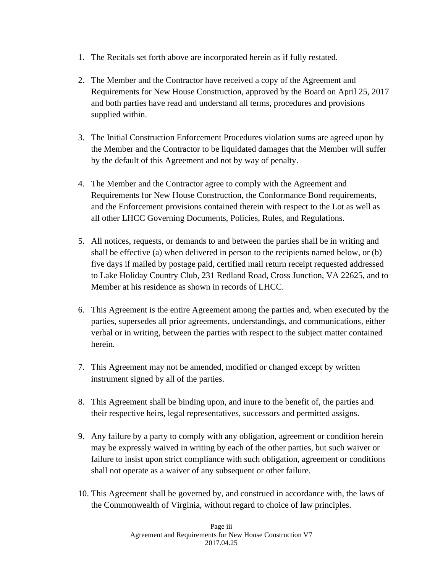- 1. The Recitals set forth above are incorporated herein as if fully restated.
- 2. The Member and the Contractor have received a copy of the Agreement and Requirements for New House Construction, approved by the Board on April 25, 2017 and both parties have read and understand all terms, procedures and provisions supplied within.
- 3. The Initial Construction Enforcement Procedures violation sums are agreed upon by the Member and the Contractor to be liquidated damages that the Member will suffer by the default of this Agreement and not by way of penalty.
- 4. The Member and the Contractor agree to comply with the Agreement and Requirements for New House Construction, the Conformance Bond requirements, and the Enforcement provisions contained therein with respect to the Lot as well as all other LHCC Governing Documents, Policies, Rules, and Regulations.
- 5. All notices, requests, or demands to and between the parties shall be in writing and shall be effective (a) when delivered in person to the recipients named below, or (b) five days if mailed by postage paid, certified mail return receipt requested addressed to Lake Holiday Country Club, 231 Redland Road, Cross Junction, VA 22625, and to Member at his residence as shown in records of LHCC.
- 6. This Agreement is the entire Agreement among the parties and, when executed by the parties, supersedes all prior agreements, understandings, and communications, either verbal or in writing, between the parties with respect to the subject matter contained herein.
- 7. This Agreement may not be amended, modified or changed except by written instrument signed by all of the parties.
- 8. This Agreement shall be binding upon, and inure to the benefit of, the parties and their respective heirs, legal representatives, successors and permitted assigns.
- 9. Any failure by a party to comply with any obligation, agreement or condition herein may be expressly waived in writing by each of the other parties, but such waiver or failure to insist upon strict compliance with such obligation, agreement or conditions shall not operate as a waiver of any subsequent or other failure.
- 10. This Agreement shall be governed by, and construed in accordance with, the laws of the Commonwealth of Virginia, without regard to choice of law principles.